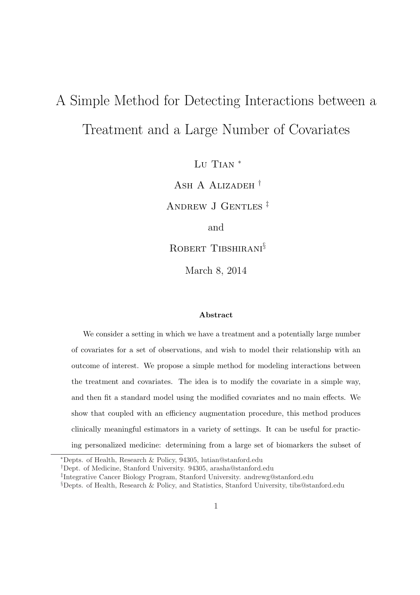# A Simple Method for Detecting Interactions between a Treatment and a Large Number of Covariates

Lu Tian<sup>\*</sup>

Ash A Alizadeh †

Andrew J Gentles ‡

and

ROBERT TIBSHIRANI<sup>§</sup>

March 8, 2014

#### Abstract

We consider a setting in which we have a treatment and a potentially large number of covariates for a set of observations, and wish to model their relationship with an outcome of interest. We propose a simple method for modeling interactions between the treatment and covariates. The idea is to modify the covariate in a simple way, and then fit a standard model using the modified covariates and no main effects. We show that coupled with an efficiency augmentation procedure, this method produces clinically meaningful estimators in a variety of settings. It can be useful for practicing personalized medicine: determining from a large set of biomarkers the subset of

<sup>∗</sup>Depts. of Health, Research & Policy, 94305, lutian@stanford.edu

<sup>†</sup>Dept. of Medicine, Stanford University. 94305, arasha@stanford.edu

<sup>‡</sup> Integrative Cancer Biology Program, Stanford University. andrewg@stanford.edu

<sup>§</sup>Depts. of Health, Research & Policy, and Statistics, Stanford University, tibs@stanford.edu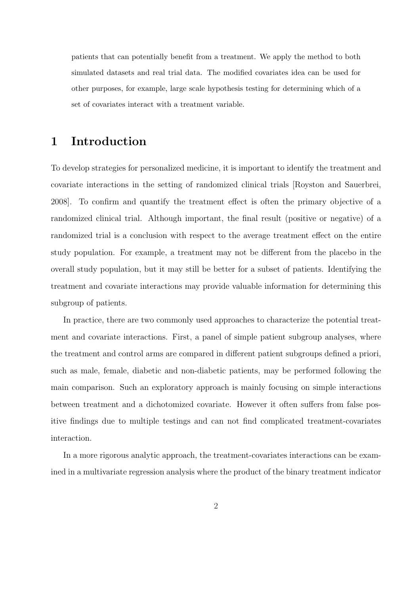patients that can potentially benefit from a treatment. We apply the method to both simulated datasets and real trial data. The modified covariates idea can be used for other purposes, for example, large scale hypothesis testing for determining which of a set of covariates interact with a treatment variable.

### 1 Introduction

To develop strategies for personalized medicine, it is important to identify the treatment and covariate interactions in the setting of randomized clinical trials [Royston and Sauerbrei, 2008]. To confirm and quantify the treatment effect is often the primary objective of a randomized clinical trial. Although important, the final result (positive or negative) of a randomized trial is a conclusion with respect to the average treatment effect on the entire study population. For example, a treatment may not be different from the placebo in the overall study population, but it may still be better for a subset of patients. Identifying the treatment and covariate interactions may provide valuable information for determining this subgroup of patients.

In practice, there are two commonly used approaches to characterize the potential treatment and covariate interactions. First, a panel of simple patient subgroup analyses, where the treatment and control arms are compared in different patient subgroups defined a priori, such as male, female, diabetic and non-diabetic patients, may be performed following the main comparison. Such an exploratory approach is mainly focusing on simple interactions between treatment and a dichotomized covariate. However it often suffers from false positive findings due to multiple testings and can not find complicated treatment-covariates interaction.

In a more rigorous analytic approach, the treatment-covariates interactions can be examined in a multivariate regression analysis where the product of the binary treatment indicator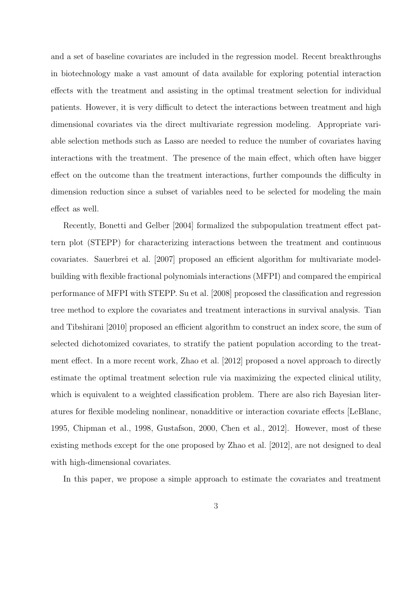and a set of baseline covariates are included in the regression model. Recent breakthroughs in biotechnology make a vast amount of data available for exploring potential interaction effects with the treatment and assisting in the optimal treatment selection for individual patients. However, it is very difficult to detect the interactions between treatment and high dimensional covariates via the direct multivariate regression modeling. Appropriate variable selection methods such as Lasso are needed to reduce the number of covariates having interactions with the treatment. The presence of the main effect, which often have bigger effect on the outcome than the treatment interactions, further compounds the difficulty in dimension reduction since a subset of variables need to be selected for modeling the main effect as well.

Recently, Bonetti and Gelber [2004] formalized the subpopulation treatment effect pattern plot (STEPP) for characterizing interactions between the treatment and continuous covariates. Sauerbrei et al. [2007] proposed an efficient algorithm for multivariate modelbuilding with flexible fractional polynomials interactions (MFPI) and compared the empirical performance of MFPI with STEPP. Su et al. [2008] proposed the classification and regression tree method to explore the covariates and treatment interactions in survival analysis. Tian and Tibshirani [2010] proposed an efficient algorithm to construct an index score, the sum of selected dichotomized covariates, to stratify the patient population according to the treatment effect. In a more recent work, Zhao et al. [2012] proposed a novel approach to directly estimate the optimal treatment selection rule via maximizing the expected clinical utility, which is equivalent to a weighted classification problem. There are also rich Bayesian literatures for flexible modeling nonlinear, nonadditive or interaction covariate effects [LeBlanc, 1995, Chipman et al., 1998, Gustafson, 2000, Chen et al., 2012]. However, most of these existing methods except for the one proposed by Zhao et al. [2012], are not designed to deal with high-dimensional covariates.

In this paper, we propose a simple approach to estimate the covariates and treatment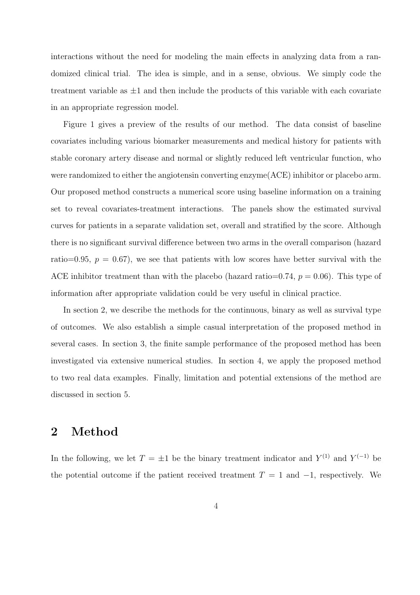interactions without the need for modeling the main effects in analyzing data from a randomized clinical trial. The idea is simple, and in a sense, obvious. We simply code the treatment variable as  $\pm 1$  and then include the products of this variable with each covariate in an appropriate regression model.

Figure 1 gives a preview of the results of our method. The data consist of baseline covariates including various biomarker measurements and medical history for patients with stable coronary artery disease and normal or slightly reduced left ventricular function, who were randomized to either the angiotensin converting enzyme(ACE) inhibitor or placebo arm. Our proposed method constructs a numerical score using baseline information on a training set to reveal covariates-treatment interactions. The panels show the estimated survival curves for patients in a separate validation set, overall and stratified by the score. Although there is no significant survival difference between two arms in the overall comparison (hazard ratio=0.95,  $p = 0.67$ , we see that patients with low scores have better survival with the ACE inhibitor treatment than with the placebo (hazard ratio=0.74,  $p = 0.06$ ). This type of information after appropriate validation could be very useful in clinical practice.

In section 2, we describe the methods for the continuous, binary as well as survival type of outcomes. We also establish a simple casual interpretation of the proposed method in several cases. In section 3, the finite sample performance of the proposed method has been investigated via extensive numerical studies. In section 4, we apply the proposed method to two real data examples. Finally, limitation and potential extensions of the method are discussed in section 5.

### 2 Method

In the following, we let  $T = \pm 1$  be the binary treatment indicator and  $Y^{(1)}$  and  $Y^{(-1)}$  be the potential outcome if the patient received treatment  $T = 1$  and  $-1$ , respectively. We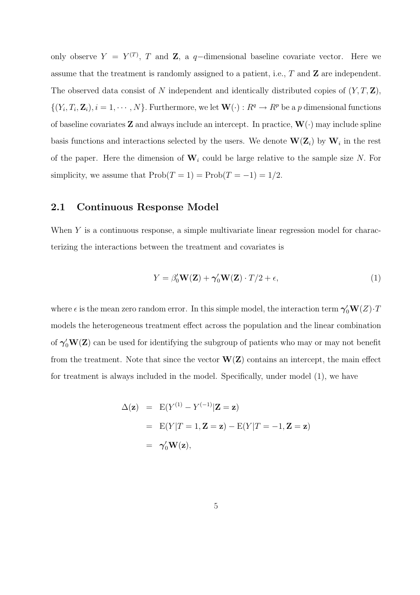only observe  $Y = Y^{(T)}$ , T and Z, a q-dimensional baseline covariate vector. Here we assume that the treatment is randomly assigned to a patient, i.e.,  $T$  and  $\mathbf{Z}$  are independent. The observed data consist of N independent and identically distributed copies of  $(Y, T, \mathbf{Z})$ ,  $\{(Y_i, T_i, \mathbf{Z}_i), i = 1, \cdots, N\}$ . Furthermore, we let  $\mathbf{W}(\cdot) : R^q \to R^p$  be a p dimensional functions of baseline covariates **Z** and always include an intercept. In practice,  $\mathbf{W}(\cdot)$  may include spline basis functions and interactions selected by the users. We denote  $\mathbf{W}(\mathbf{Z}_i)$  by  $\mathbf{W}_i$  in the rest of the paper. Here the dimension of  $W_i$  could be large relative to the sample size N. For simplicity, we assume that  $\text{Prob}(T = 1) = \text{Prob}(T = -1) = 1/2$ .

#### 2.1 Continuous Response Model

When Y is a continuous response, a simple multivariate linear regression model for characterizing the interactions between the treatment and covariates is

$$
Y = \beta_0' \mathbf{W}(\mathbf{Z}) + \gamma_0' \mathbf{W}(\mathbf{Z}) \cdot T/2 + \epsilon,\tag{1}
$$

where  $\epsilon$  is the mean zero random error. In this simple model, the interaction term  ${\bm \gamma}_0' {\bf W}(Z){\cdot}T$ models the heterogeneous treatment effect across the population and the linear combination of  $\gamma_0'W(Z)$  can be used for identifying the subgroup of patients who may or may not benefit from the treatment. Note that since the vector  $W(Z)$  contains an intercept, the main effect for treatment is always included in the model. Specifically, under model (1), we have

$$
\Delta(\mathbf{z}) = \mathbf{E}(Y^{(1)} - Y^{(-1)}|\mathbf{Z} = \mathbf{z})
$$
  
=  $\mathbf{E}(Y|T = 1, \mathbf{Z} = \mathbf{z}) - \mathbf{E}(Y|T = -1, \mathbf{Z} = \mathbf{z})$   
=  $\gamma_0' \mathbf{W}(\mathbf{z}),$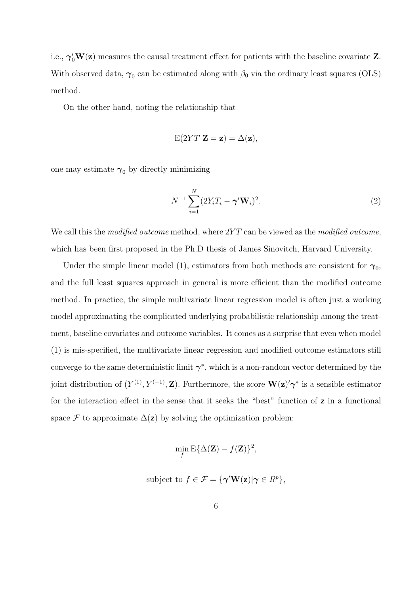i.e.,  $\gamma_0' W(z)$  measures the causal treatment effect for patients with the baseline covariate **Z**. With observed data,  $\gamma_0$  can be estimated along with  $\beta_0$  via the ordinary least squares (OLS) method.

On the other hand, noting the relationship that

$$
E(2YT|Z = z) = \Delta(z),
$$

one may estimate  $\gamma_0$  by directly minimizing

$$
N^{-1} \sum_{i=1}^{N} (2Y_i T_i - \gamma' \mathbf{W}_i)^2.
$$
 (2)

We call this the modified outcome method, where  $2YT$  can be viewed as the modified outcome, which has been first proposed in the Ph.D thesis of James Sinovitch, Harvard University.

Under the simple linear model (1), estimators from both methods are consistent for  $\gamma_0$ , and the full least squares approach in general is more efficient than the modified outcome method. In practice, the simple multivariate linear regression model is often just a working model approximating the complicated underlying probabilistic relationship among the treatment, baseline covariates and outcome variables. It comes as a surprise that even when model (1) is mis-specified, the multivariate linear regression and modified outcome estimators still converge to the same deterministic limit  $\gamma^*$ , which is a non-random vector determined by the joint distribution of  $(Y^{(1)}, Y^{(-1)}, \mathbf{Z})$ . Furthermore, the score  $\mathbf{W}(\mathbf{z})' \boldsymbol{\gamma}^*$  is a sensible estimator for the interaction effect in the sense that it seeks the "best" function of z in a functional space F to approximate  $\Delta(z)$  by solving the optimization problem:

$$
\min_{f} \mathbf{E} \{ \Delta(\mathbf{Z}) - f(\mathbf{Z}) \}^2,
$$

subject to 
$$
f \in \mathcal{F} = {\{\gamma' \mathbf{W}(\mathbf{z}) | \gamma \in R^p\}}
$$
,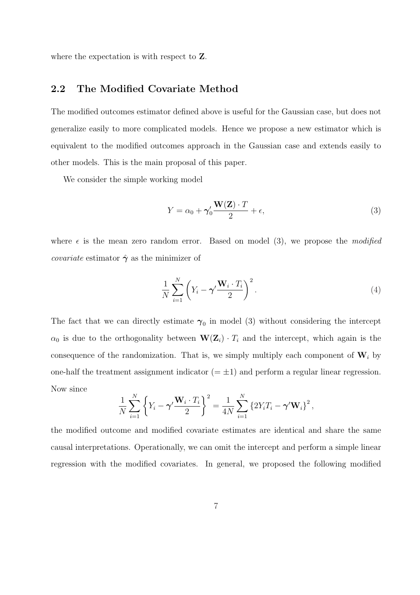where the expectation is with respect to **Z**.

#### 2.2 The Modified Covariate Method

The modified outcomes estimator defined above is useful for the Gaussian case, but does not generalize easily to more complicated models. Hence we propose a new estimator which is equivalent to the modified outcomes approach in the Gaussian case and extends easily to other models. This is the main proposal of this paper.

We consider the simple working model

$$
Y = \alpha_0 + \gamma'_0 \frac{\mathbf{W}(\mathbf{Z}) \cdot T}{2} + \epsilon,\tag{3}
$$

where  $\epsilon$  is the mean zero random error. Based on model (3), we propose the modified *covariate* estimator  $\hat{\gamma}$  as the minimizer of

$$
\frac{1}{N} \sum_{i=1}^{N} \left( Y_i - \gamma' \frac{\mathbf{W}_i \cdot T_i}{2} \right)^2.
$$
\n(4)

The fact that we can directly estimate  $\gamma_0$  in model (3) without considering the intercept  $\alpha_0$  is due to the orthogonality between  $\mathbf{W}(\mathbf{Z}_i) \cdot T_i$  and the intercept, which again is the consequence of the randomization. That is, we simply multiply each component of  $W_i$  by one-half the treatment assignment indicator  $(=\pm 1)$  and perform a regular linear regression. Now since

$$
\frac{1}{N}\sum_{i=1}^N\left\{Y_i-\gamma'\frac{\mathbf{W}_i\cdot T_i}{2}\right\}^2=\frac{1}{4N}\sum_{i=1}^N\left\{2Y_iT_i-\gamma'\mathbf{W}_i\right\}^2,
$$

the modified outcome and modified covariate estimates are identical and share the same causal interpretations. Operationally, we can omit the intercept and perform a simple linear regression with the modified covariates. In general, we proposed the following modified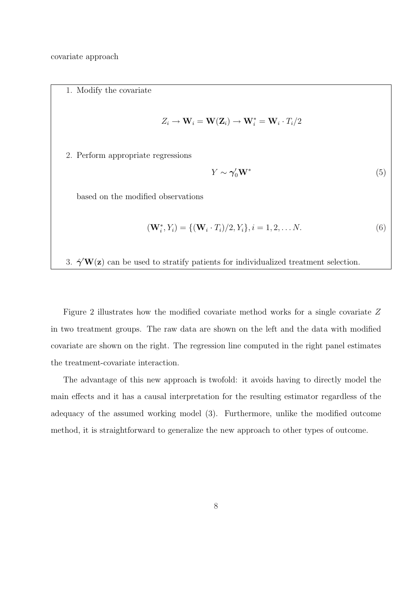covariate approach

1. Modify the covariate

$$
Z_i \to \mathbf{W}_i = \mathbf{W}(\mathbf{Z}_i) \to \mathbf{W}_i^* = \mathbf{W}_i \cdot T_i/2
$$

2. Perform appropriate regressions

$$
Y \sim \gamma_0' \mathbf{W}^* \tag{5}
$$

based on the modified observations

$$
(\mathbf{W}_i^*, Y_i) = \{ (\mathbf{W}_i \cdot T_i)/2, Y_i \}, i = 1, 2, \dots N.
$$
\n(6)

3.  $\hat{\gamma}'\mathbf{W}(\mathbf{z})$  can be used to stratify patients for individualized treatment selection.

Figure 2 illustrates how the modified covariate method works for a single covariate Z in two treatment groups. The raw data are shown on the left and the data with modified covariate are shown on the right. The regression line computed in the right panel estimates the treatment-covariate interaction.

The advantage of this new approach is twofold: it avoids having to directly model the main effects and it has a causal interpretation for the resulting estimator regardless of the adequacy of the assumed working model (3). Furthermore, unlike the modified outcome method, it is straightforward to generalize the new approach to other types of outcome.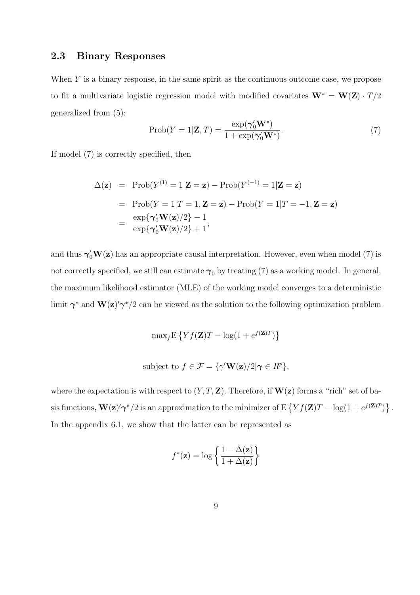#### 2.3 Binary Responses

When Y is a binary response, in the same spirit as the continuous outcome case, we propose to fit a multivariate logistic regression model with modified covariates  $\mathbf{W}^* = \mathbf{W}(\mathbf{Z}) \cdot T/2$ generalized from (5):

$$
\text{Prob}(Y=1|\mathbf{Z},T) = \frac{\exp(\boldsymbol{\gamma}_0'\mathbf{W}^*)}{1+\exp(\boldsymbol{\gamma}_0'\mathbf{W}^*)}.\tag{7}
$$

If model (7) is correctly specified, then

$$
\Delta(\mathbf{z}) = \text{Prob}(Y^{(1)} = 1|\mathbf{Z} = \mathbf{z}) - \text{Prob}(Y^{(-1)} = 1|\mathbf{Z} = \mathbf{z})
$$

$$
= \text{Prob}(Y = 1|T = 1, \mathbf{Z} = \mathbf{z}) - \text{Prob}(Y = 1|T = -1, \mathbf{Z} = \mathbf{z})
$$

$$
= \frac{\exp{\{\gamma_0' \mathbf{W}(\mathbf{z})/2\} - 1}}{\exp{\{\gamma_0' \mathbf{W}(\mathbf{z})/2\} + 1}},
$$

and thus  $\gamma'_0 \mathbf{W}(\mathbf{z})$  has an appropriate causal interpretation. However, even when model (7) is not correctly specified, we still can estimate  $\gamma_0$  by treating (7) as a working model. In general, the maximum likelihood estimator (MLE) of the working model converges to a deterministic limit  $\gamma^*$  and  $\mathbf{W}(\mathbf{z})' \gamma^* / 2$  can be viewed as the solution to the following optimization problem

$$
\max_{f} \mathbf{E}\left\{ Y f(\mathbf{Z}) T - \log(1 + e^{f(\mathbf{Z})T}) \right\}
$$

subject to 
$$
f \in \mathcal{F} = \{ \gamma' \mathbf{W}(\mathbf{z})/2 | \gamma \in R^p \},\
$$

where the expectation is with respect to  $(Y, T, \mathbf{Z})$ . Therefore, if  $\mathbf{W}(\mathbf{z})$  forms a "rich" set of basis functions,  $\mathbf{W}(\mathbf{z})' \boldsymbol{\gamma}^*/2$  is an approximation to the minimizer of  $E\left\{Y f(\mathbf{Z}) T - \log(1 + e^{f(\mathbf{Z})T})\right\}$ ª . In the appendix 6.1, we show that the latter can be represented as

$$
f^*(\mathbf{z}) = \log \left\{ \frac{1 - \Delta(\mathbf{z})}{1 + \Delta(\mathbf{z})} \right\}
$$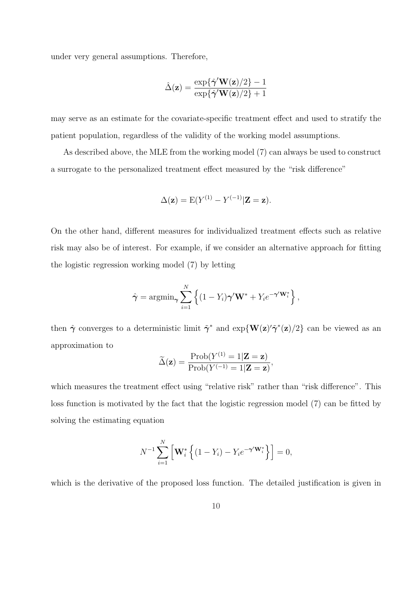under very general assumptions. Therefore,

$$
\hat{\Delta}(\mathbf{z}) = \frac{\exp\{\hat{\boldsymbol{\gamma}}'\mathbf{W}(\mathbf{z})/2\} - 1}{\exp\{\hat{\boldsymbol{\gamma}}'\mathbf{W}(\mathbf{z})/2\} + 1}
$$

may serve as an estimate for the covariate-specific treatment effect and used to stratify the patient population, regardless of the validity of the working model assumptions.

As described above, the MLE from the working model (7) can always be used to construct a surrogate to the personalized treatment effect measured by the "risk difference"

$$
\Delta(\mathbf{z}) = E(Y^{(1)} - Y^{(-1)}|\mathbf{Z} = \mathbf{z}).
$$

On the other hand, different measures for individualized treatment effects such as relative risk may also be of interest. For example, if we consider an alternative approach for fitting the logistic regression working model (7) by letting

$$
\hat{\boldsymbol{\gamma}} = \operatorname{argmin}_{\boldsymbol{\gamma}} \sum_{i=1}^{N} \left\{ (1 - Y_i) \boldsymbol{\gamma}' \mathbf{W}^* + Y_i e^{-\boldsymbol{\gamma}' \mathbf{W}_i^*} \right\},
$$

then  $\hat{\gamma}$  converges to a deterministic limit  $\tilde{\gamma}^*$  and  $\exp\{\mathbf{W}(\mathbf{z})'\tilde{\gamma}^*(\mathbf{z})/2\}$  can be viewed as an approximation to

$$
\widetilde{\Delta}(\mathbf{z}) = \frac{\text{Prob}(Y^{(1)} = 1|\mathbf{Z} = \mathbf{z})}{\text{Prob}(Y^{(-1)} = 1|\mathbf{Z} = \mathbf{z})},
$$

which measures the treatment effect using "relative risk" rather than "risk difference". This loss function is motivated by the fact that the logistic regression model (7) can be fitted by solving the estimating equation

$$
N^{-1}\sum_{i=1}^N \left[\mathbf{W}_i^* \left\{ (1-Y_i) - Y_i e^{-\boldsymbol{\gamma}' \mathbf{W}_i^*} \right\} \right] = 0,
$$

which is the derivative of the proposed loss function. The detailed justification is given in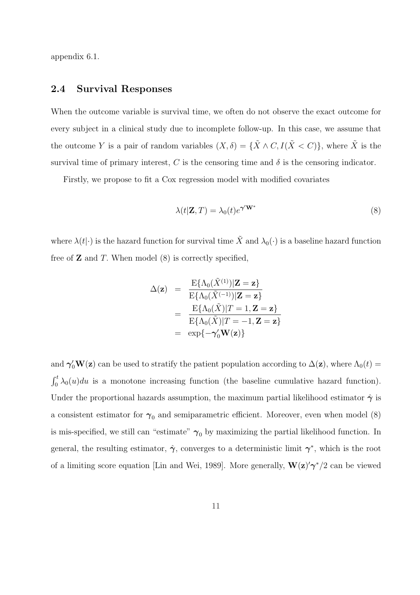appendix 6.1.

#### 2.4 Survival Responses

When the outcome variable is survival time, we often do not observe the exact outcome for every subject in a clinical study due to incomplete follow-up. In this case, we assume that the outcome Y is a pair of random variables  $(X, \delta) = {\{\tilde{X} \wedge C, I(\tilde{X} \lt C)\}}$ , where  $\tilde{X}$  is the survival time of primary interest, C is the censoring time and  $\delta$  is the censoring indicator.

Firstly, we propose to fit a Cox regression model with modified covariates

$$
\lambda(t|\mathbf{Z},T) = \lambda_0(t)e^{\boldsymbol{\gamma}'\mathbf{W}^*}
$$
\n(8)

where  $\lambda(t|\cdot)$  is the hazard function for survival time  $\tilde{X}$  and  $\lambda_0(\cdot)$  is a baseline hazard function free of  $Z$  and  $T$ . When model  $(8)$  is correctly specified,

$$
\Delta(\mathbf{z}) = \frac{\mathrm{E}\{\Lambda_0(\tilde{X}^{(1)})|\mathbf{Z} = \mathbf{z}\}}{\mathrm{E}\{\Lambda_0(\tilde{X}^{(-1)})|\mathbf{Z} = \mathbf{z}\}}
$$

$$
= \frac{\mathrm{E}\{\Lambda_0(\tilde{X})|T = 1, \mathbf{Z} = \mathbf{z}\}}{\mathrm{E}\{\Lambda_0(\tilde{X})|T = -1, \mathbf{Z} = \mathbf{z}\}}
$$

$$
= \exp\{-\gamma_0'\mathbf{W}(\mathbf{z})\}
$$

and  $\gamma_0'$ **W**(z) can be used to stratify the patient population according to  $\Delta(z)$ , where  $\Lambda_0(t)$  =  $\mathbf{r}^t$  $\int_0^t \lambda_0(u) du$  is a monotone increasing function (the baseline cumulative hazard function). Under the proportional hazards assumption, the maximum partial likelihood estimator  $\hat{\gamma}$  is a consistent estimator for  $\gamma_0$  and semiparametric efficient. Moreover, even when model (8) is mis-specified, we still can "estimate"  $\gamma_0$  by maximizing the partial likelihood function. In general, the resulting estimator,  $\hat{\gamma}$ , converges to a deterministic limit  $\gamma^*$ , which is the root of a limiting score equation [Lin and Wei, 1989]. More generally,  $\mathbf{W}(\mathbf{z})' \boldsymbol{\gamma}^*/2$  can be viewed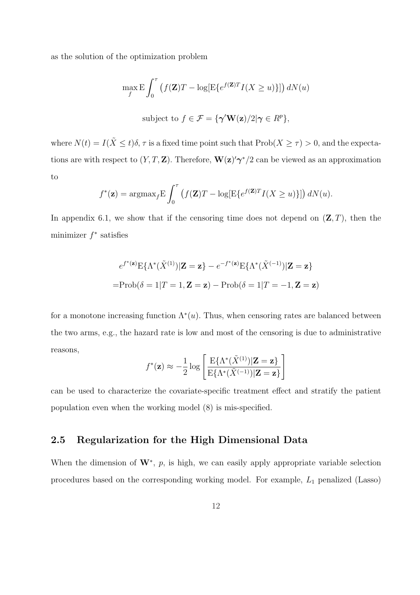as the solution of the optimization problem

$$
\max_{f} \mathbf{E} \int_{0}^{\tau} \left( f(\mathbf{Z})T - \log[\mathbf{E}\{e^{f(\mathbf{Z})T}I(X \ge u)\}] \right) dN(u)
$$
  
subject to  $f \in \mathcal{F} = \{ \gamma' \mathbf{W}(\mathbf{z})/2 | \gamma \in R^{p} \},$ 

where  $N(t) = I(\tilde{X} \le t)\delta$ ,  $\tau$  is a fixed time point such that  $\text{Prob}(X \ge \tau) > 0$ , and the expectations are with respect to  $(Y, T, \mathbf{Z})$ . Therefore,  $\mathbf{W}(\mathbf{z})' \gamma^* / 2$  can be viewed as an approximation to

$$
f^*(\mathbf{z}) = \operatorname{argmax}_{f} \mathbf{E} \int_0^{\tau} \left( f(\mathbf{Z})T - \log[\mathbf{E}\{e^{f(\mathbf{Z})T}I(X \ge u)\}] \right) dN(u).
$$

In appendix 6.1, we show that if the censoring time does not depend on  $(\mathbf{Z}, T)$ , then the minimizer  $f^*$  satisfies

$$
e^{f^*(\mathbf{z})} \mathbf{E}\{\Lambda^*(\tilde{X}^{(1)})|\mathbf{Z} = \mathbf{z}\} - e^{-f^*(\mathbf{z})} \mathbf{E}\{\Lambda^*(\tilde{X}^{(-1)})|\mathbf{Z} = \mathbf{z}\}
$$

$$
= \text{Prob}(\delta = 1|T = 1, \mathbf{Z} = \mathbf{z}) - \text{Prob}(\delta = 1|T = -1, \mathbf{Z} = \mathbf{z})
$$

for a monotone increasing function  $\Lambda^*(u)$ . Thus, when censoring rates are balanced between the two arms, e.g., the hazard rate is low and most of the censoring is due to administrative reasons,  $\overline{a}$ 

$$
f^*(\mathbf{z}) \approx -\frac{1}{2} \log \left[ \frac{\mathrm{E}\{\Lambda^*(\tilde{X}^{(1)})|\mathbf{Z}=\mathbf{z}\}}{\mathrm{E}\{\Lambda^*(\tilde{X}^{(-1)})|\mathbf{Z}=\mathbf{z}\}} \right]
$$

can be used to characterize the covariate-specific treatment effect and stratify the patient population even when the working model (8) is mis-specified.

#### 2.5 Regularization for the High Dimensional Data

When the dimension of  $W^*$ , p, is high, we can easily apply appropriate variable selection procedures based on the corresponding working model. For example,  $L_1$  penalized (Lasso)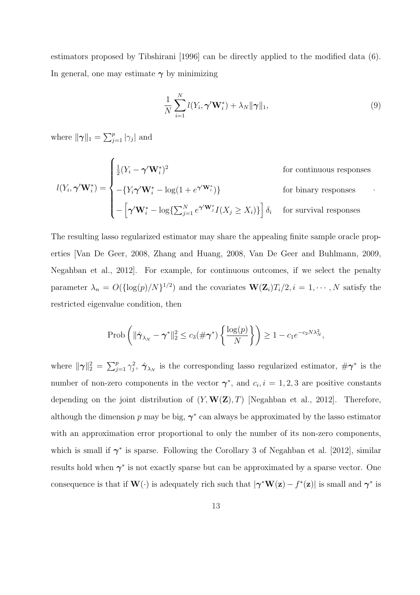estimators proposed by Tibshirani [1996] can be directly applied to the modified data (6). In general, one may estimate  $\gamma$  by minimizing

$$
\frac{1}{N} \sum_{i=1}^{N} l(Y_i, \boldsymbol{\gamma}' \mathbf{W}_i^*) + \lambda_N ||\boldsymbol{\gamma}||_1,
$$
\n(9)

where  $\|\gamma\|_1 = \sum_i^p$  $\sum_{j=1}^p |\gamma_j|$  and

 $\overline{ }$ 

$$
l(Y_i, \gamma' \mathbf{W}_i^*) = \begin{cases} \frac{1}{2} (Y_i - \gamma' \mathbf{W}_i^*)^2 & \text{for continuous responses} \\ -\{Y_i \gamma' \mathbf{W}_i^* - \log(1 + e^{\gamma' \mathbf{W}_i^*})\} & \text{for binary responses} \\ -\left[\gamma' \mathbf{W}_i^* - \log\{\sum_{j=1}^N e^{\gamma' \mathbf{W}_j^*} I(X_j \ge X_i)\}\right] \delta_i & \text{for survival responses} \end{cases}
$$

The resulting lasso regularized estimator may share the appealing finite sample oracle properties [Van De Geer, 2008, Zhang and Huang, 2008, Van De Geer and Buhlmann, 2009, Negahban et al., 2012]. For example, for continuous outcomes, if we select the penalty parameter  $\lambda_n = O({\log(p)/N})^{1/2}$  and the covariates  $\mathbf{W}(\mathbf{Z}_i)T_i/2, i = 1, \cdots, N$  satisfy the restricted eigenvalue condition, then

$$
\operatorname{Prob}\left(\|\hat{\boldsymbol{\gamma}}_{\lambda_N}-\boldsymbol{\gamma}^*\|_2^2 \leq c_3(\#\boldsymbol{\gamma}^*)\left\{\frac{\log(p)}{N}\right\}\right) \geq 1-c_1e^{-c_2N\lambda_N^2},
$$

where  $\|\gamma\|_2^2 =$  $\bigtriangledown p$  $j=1 \gamma_j^2$ ,  $\hat{\gamma}_{\lambda_N}$  is the corresponding lasso regularized estimator,  $\#\gamma^*$  is the number of non-zero components in the vector  $\gamma^*$ , and  $c_i$ ,  $i = 1, 2, 3$  are positive constants depending on the joint distribution of  $(Y, W(Z), T)$  [Negahban et al., 2012]. Therefore, although the dimension p may be big,  $\gamma^*$  can always be approximated by the lasso estimator with an approximation error proportional to only the number of its non-zero components, which is small if  $\gamma^*$  is sparse. Following the Corollary 3 of Negahban et al. [2012], similar results hold when  $\gamma^*$  is not exactly sparse but can be approximated by a sparse vector. One consequence is that if  $\mathbf{W}(\cdot)$  is adequately rich such that  $|\boldsymbol{\gamma}^*\mathbf{W}(\mathbf{z}) - f^*(\mathbf{z})|$  is small and  $\boldsymbol{\gamma}^*$  is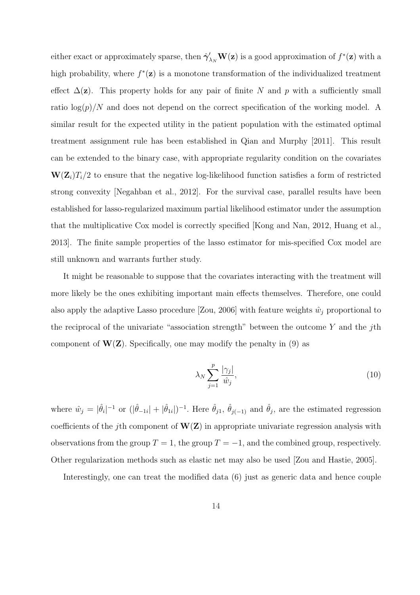either exact or approximately sparse, then  $\hat{\gamma}'_{\lambda_N}$ **W**(**z**) is a good approximation of  $f^*(\mathbf{z})$  with a high probability, where  $f^*(z)$  is a monotone transformation of the individualized treatment effect  $\Delta(\mathbf{z})$ . This property holds for any pair of finite N and p with a sufficiently small ratio  $\log(p)/N$  and does not depend on the correct specification of the working model. A similar result for the expected utility in the patient population with the estimated optimal treatment assignment rule has been established in Qian and Murphy [2011]. This result can be extended to the binary case, with appropriate regularity condition on the covariates  $\mathbf{W}(\mathbf{Z}_i)T_i/2$  to ensure that the negative log-likelihood function satisfies a form of restricted strong convexity [Negahban et al., 2012]. For the survival case, parallel results have been established for lasso-regularized maximum partial likelihood estimator under the assumption that the multiplicative Cox model is correctly specified [Kong and Nan, 2012, Huang et al., 2013]. The finite sample properties of the lasso estimator for mis-specified Cox model are still unknown and warrants further study.

It might be reasonable to suppose that the covariates interacting with the treatment will more likely be the ones exhibiting important main effects themselves. Therefore, one could also apply the adaptive Lasso procedure [Zou, 2006] with feature weights  $\hat{w}_j$  proportional to the reciprocal of the univariate "association strength" between the outcome  $Y$  and the j<sup>th</sup> component of  $W(Z)$ . Specifically, one may modify the penalty in (9) as

$$
\lambda_N \sum_{j=1}^p \frac{|\gamma_j|}{\hat{w}_j},\tag{10}
$$

where  $\hat{w}_j = |\hat{\theta}_i|^{-1}$  or  $(|\hat{\theta}_{-1i}| + |\hat{\theta}_{1i}|)^{-1}$ . Here  $\hat{\theta}_{j1}$ ,  $\hat{\theta}_{j(-1)}$  and  $\hat{\theta}_j$ , are the estimated regression coefficients of the j<sup>th</sup> component of  $W(Z)$  in appropriate univariate regression analysis with observations from the group  $T = 1$ , the group  $T = -1$ , and the combined group, respectively. Other regularization methods such as elastic net may also be used [Zou and Hastie, 2005].

Interestingly, one can treat the modified data (6) just as generic data and hence couple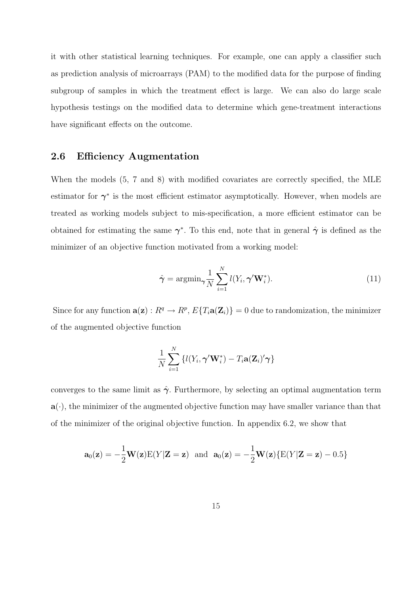it with other statistical learning techniques. For example, one can apply a classifier such as prediction analysis of microarrays (PAM) to the modified data for the purpose of finding subgroup of samples in which the treatment effect is large. We can also do large scale hypothesis testings on the modified data to determine which gene-treatment interactions have significant effects on the outcome.

#### 2.6 Efficiency Augmentation

When the models (5, 7 and 8) with modified covariates are correctly specified, the MLE estimator for  $\gamma^*$  is the most efficient estimator asymptotically. However, when models are treated as working models subject to mis-specification, a more efficient estimator can be obtained for estimating the same  $\gamma^*$ . To this end, note that in general  $\hat{\gamma}$  is defined as the minimizer of an objective function motivated from a working model:

$$
\hat{\boldsymbol{\gamma}} = \operatorname{argmin}_{\boldsymbol{\gamma}} \frac{1}{N} \sum_{i=1}^{N} l(Y_i, \boldsymbol{\gamma}' \mathbf{W}_i^*).
$$
\n(11)

Since for any function  $\mathbf{a}(\mathbf{z}): R^q \to R^p$ ,  $E\{T_i \mathbf{a}(\mathbf{Z}_i)\} = 0$  due to randomization, the minimizer of the augmented objective function

$$
\frac{1}{N}\sum_{i=1}^N \left\{ l(Y_i, \boldsymbol{\gamma}'\mathbf{W}_i^*) - T_i \mathbf{a}(\mathbf{Z}_i)' \boldsymbol{\gamma} \right\}
$$

converges to the same limit as  $\hat{\gamma}$ . Furthermore, by selecting an optimal augmentation term  $a(\cdot)$ , the minimizer of the augmented objective function may have smaller variance than that of the minimizer of the original objective function. In appendix 6.2, we show that

$$
\mathbf{a}_0(\mathbf{z}) = -\frac{1}{2}\mathbf{W}(\mathbf{z})E(Y|\mathbf{Z}=\mathbf{z}) \text{ and } \mathbf{a}_0(\mathbf{z}) = -\frac{1}{2}\mathbf{W}(\mathbf{z})\{E(Y|\mathbf{Z}=\mathbf{z}) - 0.5\}
$$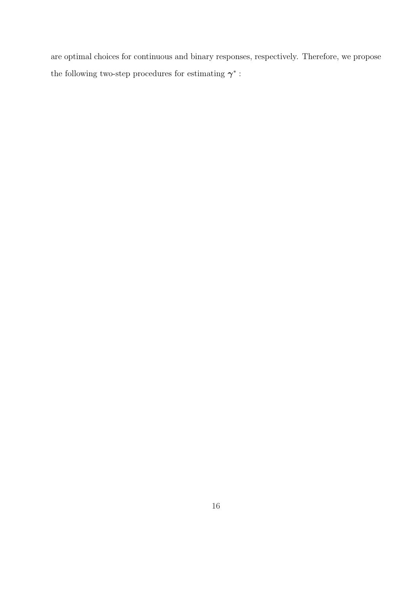are optimal choices for continuous and binary responses, respectively. Therefore, we propose the following two-step procedures for estimating  $\gamma^*$ :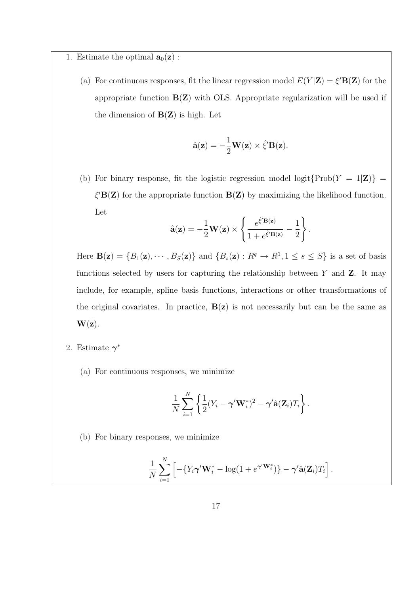1. Estimate the optimal  $\mathbf{a}_0(\mathbf{z})$ :

(a) For continuous responses, fit the linear regression model  $E(Y|Z) = \xi' \mathbf{B}(Z)$  for the appropriate function  $B(Z)$  with OLS. Appropriate regularization will be used if the dimension of  $B(Z)$  is high. Let

$$
\hat{\mathbf{a}}(\mathbf{z}) = -\frac{1}{2}\mathbf{W}(\mathbf{z}) \times \hat{\xi}' \mathbf{B}(\mathbf{z}).
$$

(b) For binary response, fit the logistic regression model logit $\{Prob(Y = 1|\mathbf{Z})\}$  =  $\xi'$ **B(Z)** for the appropriate function **B(Z)** by maximizing the likelihood function. Let  $\overline{a}$  $\mathbf{r}$ 

$$
\hat{\mathbf{a}}(\mathbf{z}) = -\frac{1}{2}\mathbf{W}(\mathbf{z}) \times \left\{ \frac{e^{\hat{\xi}'\mathbf{B}(\mathbf{z})}}{1 + e^{\hat{\xi}'\mathbf{B}(\mathbf{z})}} - \frac{1}{2} \right\}.
$$

Here  $\mathbf{B}(\mathbf{z}) = \{B_1(\mathbf{z}), \cdots, B_S(\mathbf{z})\}$  and  $\{B_s(\mathbf{z}) : R^q \to R^1, 1 \le s \le S\}$  is a set of basis functions selected by users for capturing the relationship between  $Y$  and  $Z$ . It may include, for example, spline basis functions, interactions or other transformations of the original covariates. In practice,  $B(z)$  is not necessarily but can be the same as  $\mathbf{W}(\mathbf{z})$ .

- 2. Estimate  $\gamma^*$ 
	- (a) For continuous responses, we minimize

$$
\frac{1}{N}\sum_{i=1}^N\left\{\frac{1}{2}(Y_i-\boldsymbol{\gamma}'\mathbf{W}_i^*)^2-\boldsymbol{\gamma}'\hat{\mathbf{a}}(\mathbf{Z}_i)T_i\right\}.
$$

(b) For binary responses, we minimize

$$
\frac{1}{N}\sum_{i=1}^N\left[-\{Y_i\boldsymbol{\gamma}'\mathbf{W}_i^*-\log(1+e^{\boldsymbol{\gamma}'\mathbf{W}_i^*})\}-\boldsymbol{\gamma}'\hat{\mathbf{a}}(\mathbf{Z}_i)T_i\right].
$$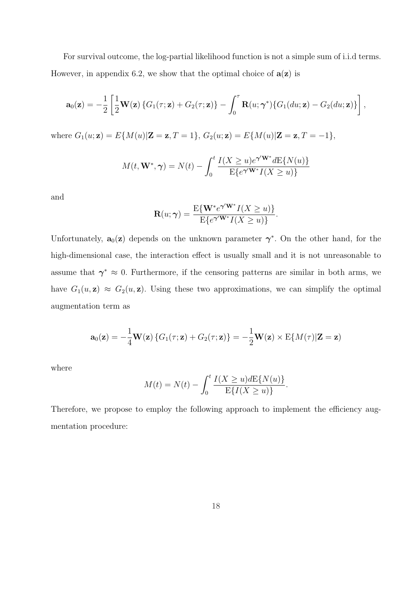For survival outcome, the log-partial likelihood function is not a simple sum of i.i.d terms. However, in appendix 6.2, we show that the optimal choice of  $a(z)$  is

$$
\mathbf{a}_0(\mathbf{z}) = -\frac{1}{2} \left[ \frac{1}{2} \mathbf{W}(\mathbf{z}) \left\{ G_1(\tau; \mathbf{z}) + G_2(\tau; \mathbf{z}) \right\} - \int_0^{\tau} \mathbf{R}(u; \boldsymbol{\gamma}^*) \{ G_1(du; \mathbf{z}) - G_2(du; \mathbf{z}) \} \right],
$$

where  $G_1(u; \mathbf{z}) = E\{M(u)|\mathbf{Z} = \mathbf{z}, T = 1\}$ ,  $G_2(u; \mathbf{z}) = E\{M(u)|\mathbf{Z} = \mathbf{z}, T = -1\}$ ,

$$
M(t, \mathbf{W}^*, \boldsymbol{\gamma}) = N(t) - \int_0^t \frac{I(X \ge u)e^{\boldsymbol{\gamma}'\mathbf{W}^*}dE\{N(u)\}}{E\{e^{\boldsymbol{\gamma}'\mathbf{W}^*}I(X \ge u)\}}
$$

and

$$
\mathbf{R}(u; \gamma) = \frac{\mathrm{E}\{\mathbf{W}^* e^{\gamma'\mathbf{W}^*} I(X \ge u)\}}{\mathrm{E}\{e^{\gamma'\mathbf{W}^*} I(X \ge u)\}}.
$$

Unfortunately,  $\mathbf{a}_0(\mathbf{z})$  depends on the unknown parameter  $\boldsymbol{\gamma}^*$ . On the other hand, for the high-dimensional case, the interaction effect is usually small and it is not unreasonable to assume that  $\gamma^* \approx 0$ . Furthermore, if the censoring patterns are similar in both arms, we have  $G_1(u, \mathbf{z}) \approx G_2(u, \mathbf{z})$ . Using these two approximations, we can simplify the optimal augmentation term as

$$
\mathbf{a}_0(\mathbf{z}) = -\frac{1}{4}\mathbf{W}(\mathbf{z}) \left\{ G_1(\tau; \mathbf{z}) + G_2(\tau; \mathbf{z}) \right\} = -\frac{1}{2}\mathbf{W}(\mathbf{z}) \times \mathbf{E} \{ M(\tau) | \mathbf{Z} = \mathbf{z} \}
$$

where

$$
M(t) = N(t) - \int_0^t \frac{I(X \ge u) dE\{N(u)\}}{E\{I(X \ge u)\}}.
$$

Therefore, we propose to employ the following approach to implement the efficiency augmentation procedure: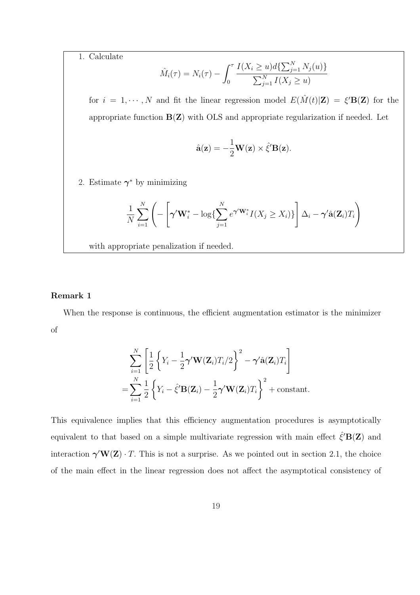1. Calculate

$$
\hat{M}_i(\tau) = N_i(\tau) - \int_0^{\tau} \frac{I(X_i \ge u) d\{\sum_{j=1}^N N_j(u)\}}{\sum_{j=1}^N I(X_j \ge u)}
$$

for  $i = 1, \dots, N$  and fit the linear regression model  $E(\hat{M}(t)|\mathbf{Z}) = \xi' \mathbf{B}(\mathbf{Z})$  for the appropriate function  $B(Z)$  with OLS and appropriate regularization if needed. Let

$$
\hat{\mathbf{a}}(\mathbf{z}) = -\frac{1}{2}\mathbf{W}(\mathbf{z}) \times \hat{\xi}' \mathbf{B}(\mathbf{z}).
$$

2. Estimate  $\gamma^*$  by minimizing

$$
\frac{1}{N} \sum_{i=1}^{N} \left( -\left[ \boldsymbol{\gamma}^{\prime} \mathbf{W}_{i}^{*} - \log \{ \sum_{j=1}^{N} e^{\boldsymbol{\gamma}^{\prime} \mathbf{W}_{i}^{*}} I(X_{j} \geq X_{i}) \} \right] \Delta_{i} - \boldsymbol{\gamma}^{\prime} \hat{\mathbf{a}}(\mathbf{Z}_{i}) T_{i} \right)
$$

with appropriate penalization if needed.

#### Remark 1

When the response is continuous, the efficient augmentation estimator is the minimizer of

$$
\sum_{i=1}^{N} \left[ \frac{1}{2} \left\{ Y_i - \frac{1}{2} \boldsymbol{\gamma}' \mathbf{W}(\mathbf{Z}_i) T_i / 2 \right\}^2 - \boldsymbol{\gamma}' \hat{\mathbf{a}}(\mathbf{Z}_i) T_i \right]
$$
  
= 
$$
\sum_{i=1}^{N} \frac{1}{2} \left\{ Y_i - \hat{\xi}' \mathbf{B}(\mathbf{Z}_i) - \frac{1}{2} \boldsymbol{\gamma}' \mathbf{W}(\mathbf{Z}_i) T_i \right\}^2 + \text{constant}.
$$

This equivalence implies that this efficiency augmentation procedures is asymptotically equivalent to that based on a simple multivariate regression with main effect  $\hat{\xi}'{\bf B(Z)}$  and interaction  $\gamma' W(Z) \cdot T$ . This is not a surprise. As we pointed out in section 2.1, the choice of the main effect in the linear regression does not affect the asymptotical consistency of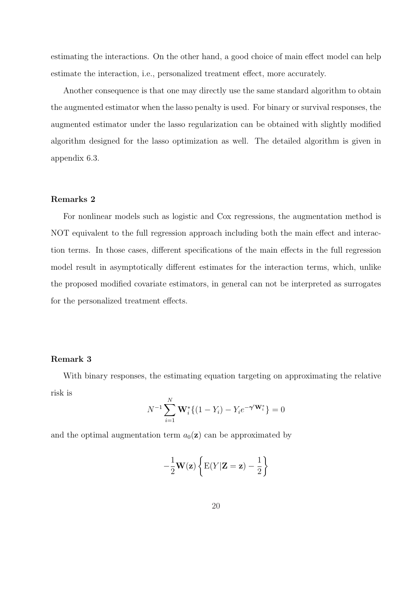estimating the interactions. On the other hand, a good choice of main effect model can help estimate the interaction, i.e., personalized treatment effect, more accurately.

Another consequence is that one may directly use the same standard algorithm to obtain the augmented estimator when the lasso penalty is used. For binary or survival responses, the augmented estimator under the lasso regularization can be obtained with slightly modified algorithm designed for the lasso optimization as well. The detailed algorithm is given in appendix 6.3.

#### Remarks 2

For nonlinear models such as logistic and Cox regressions, the augmentation method is NOT equivalent to the full regression approach including both the main effect and interaction terms. In those cases, different specifications of the main effects in the full regression model result in asymptotically different estimates for the interaction terms, which, unlike the proposed modified covariate estimators, in general can not be interpreted as surrogates for the personalized treatment effects.

#### Remark 3

With binary responses, the estimating equation targeting on approximating the relative risk is

$$
N^{-1} \sum_{i=1}^{N} \mathbf{W}_{i}^{*} \{ (1 - Y_{i}) - Y_{i} e^{-\gamma' \mathbf{W}_{i}^{*}} \} = 0
$$

and the optimal augmentation term  $a_0(\mathbf{z})$  can be approximated by

$$
-\frac{1}{2}\mathbf{W}(\mathbf{z})\left\{\mathbf{E}(Y|\mathbf{Z}=\mathbf{z})-\frac{1}{2}\right\}
$$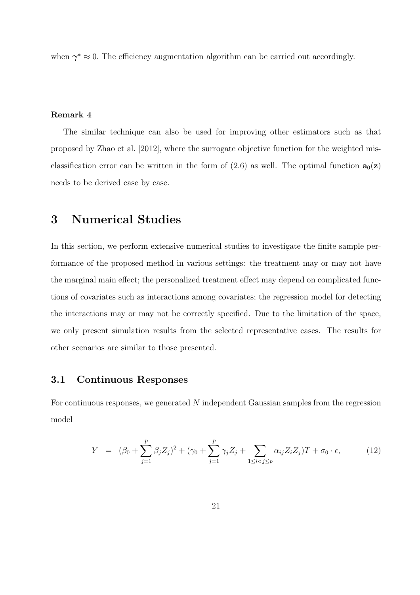when  $\gamma^* \approx 0$ . The efficiency augmentation algorithm can be carried out accordingly.

#### Remark 4

The similar technique can also be used for improving other estimators such as that proposed by Zhao et al. [2012], where the surrogate objective function for the weighted misclassification error can be written in the form of (2.6) as well. The optimal function  $\mathbf{a}_0(\mathbf{z})$ needs to be derived case by case.

### 3 Numerical Studies

In this section, we perform extensive numerical studies to investigate the finite sample performance of the proposed method in various settings: the treatment may or may not have the marginal main effect; the personalized treatment effect may depend on complicated functions of covariates such as interactions among covariates; the regression model for detecting the interactions may or may not be correctly specified. Due to the limitation of the space, we only present simulation results from the selected representative cases. The results for other scenarios are similar to those presented.

#### 3.1 Continuous Responses

For continuous responses, we generated N independent Gaussian samples from the regression model

$$
Y = (\beta_0 + \sum_{j=1}^p \beta_j Z_j)^2 + (\gamma_0 + \sum_{j=1}^p \gamma_j Z_j + \sum_{1 \le i < j \le p} \alpha_{ij} Z_i Z_j) T + \sigma_0 \cdot \epsilon,\tag{12}
$$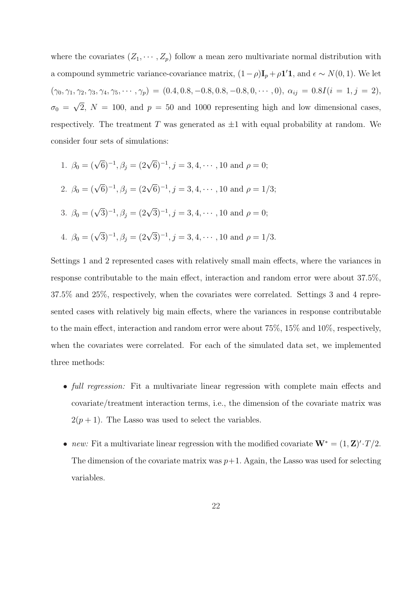where the covariates  $(Z_1, \dots, Z_p)$  follow a mean zero multivariate normal distribution with a compound symmetric variance-covariance matrix,  $(1 - \rho)I_p + \rho I' \mathbf{1}$ , and  $\epsilon \sim N(0, 1)$ . We let  $(\gamma_0, \gamma_1, \gamma_2, \gamma_3, \gamma_4, \gamma_5, \cdots, \gamma_p) = (0.4, 0.8, -0.8, 0.8, -0.8, 0, \cdots, 0), \alpha_{ij} = 0.8I(i = 1, j = 2),$  $\sigma_0 = \sqrt{2}$ ,  $N = 100$ , and  $p = 50$  and 1000 representing high and low dimensional cases, √ respectively. The treatment T was generated as  $\pm 1$  with equal probability at random. We consider four sets of simulations:

1. 
$$
\beta_0 = (\sqrt{6})^{-1}, \beta_j = (2\sqrt{6})^{-1}, j = 3, 4, \dots
$$
, 10 and  $\rho = 0$ ;  
\n2.  $\beta_0 = (\sqrt{6})^{-1}, \beta_j = (2\sqrt{6})^{-1}, j = 3, 4, \dots$ , 10 and  $\rho = 1/3$ ;  
\n3.  $\beta_0 = (\sqrt{3})^{-1}, \beta_j = (2\sqrt{3})^{-1}, j = 3, 4, \dots$ , 10 and  $\rho = 0$ ;  
\n4.  $\beta_0 = (\sqrt{3})^{-1}, \beta_j = (2\sqrt{3})^{-1}, j = 3, 4, \dots$ , 10 and  $\rho = 1/3$ .

Settings 1 and 2 represented cases with relatively small main effects, where the variances in response contributable to the main effect, interaction and random error were about 37.5%, 37.5% and 25%, respectively, when the covariates were correlated. Settings 3 and 4 represented cases with relatively big main effects, where the variances in response contributable to the main effect, interaction and random error were about 75%, 15% and 10%, respectively, when the covariates were correlated. For each of the simulated data set, we implemented three methods:

- full regression: Fit a multivariate linear regression with complete main effects and covariate/treatment interaction terms, i.e., the dimension of the covariate matrix was  $2(p+1)$ . The Lasso was used to select the variables.
- new: Fit a multivariate linear regression with the modified covariate  $W^* = (1, \mathbf{Z})' \cdot T/2$ . The dimension of the covariate matrix was  $p+1$ . Again, the Lasso was used for selecting variables.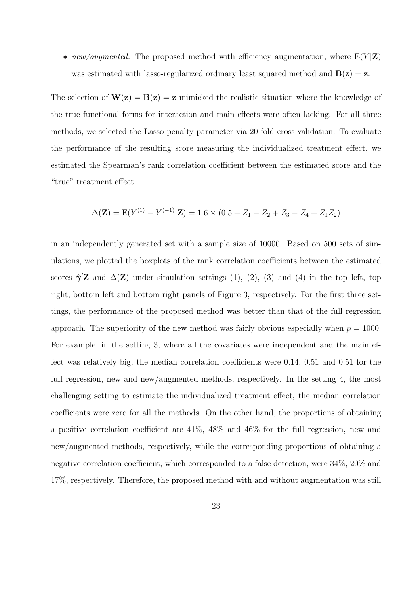• new/augmented: The proposed method with efficiency augmentation, where  $E(Y|Z)$ was estimated with lasso-regularized ordinary least squared method and  $B(z) = z$ .

The selection of  $W(z) = B(z) = z$  mimicked the realistic situation where the knowledge of the true functional forms for interaction and main effects were often lacking. For all three methods, we selected the Lasso penalty parameter via 20-fold cross-validation. To evaluate the performance of the resulting score measuring the individualized treatment effect, we estimated the Spearman's rank correlation coefficient between the estimated score and the "true" treatment effect

$$
\Delta(\mathbf{Z}) = E(Y^{(1)} - Y^{(-1)}|\mathbf{Z}) = 1.6 \times (0.5 + Z_1 - Z_2 + Z_3 - Z_4 + Z_1 Z_2)
$$

in an independently generated set with a sample size of 10000. Based on 500 sets of simulations, we plotted the boxplots of the rank correlation coefficients between the estimated scores  $\hat{\gamma}'\mathbf{Z}$  and  $\Delta(\mathbf{Z})$  under simulation settings (1), (2), (3) and (4) in the top left, top right, bottom left and bottom right panels of Figure 3, respectively. For the first three settings, the performance of the proposed method was better than that of the full regression approach. The superiority of the new method was fairly obvious especially when  $p = 1000$ . For example, in the setting 3, where all the covariates were independent and the main effect was relatively big, the median correlation coefficients were 0.14, 0.51 and 0.51 for the full regression, new and new/augmented methods, respectively. In the setting 4, the most challenging setting to estimate the individualized treatment effect, the median correlation coefficients were zero for all the methods. On the other hand, the proportions of obtaining a positive correlation coefficient are 41%, 48% and 46% for the full regression, new and new/augmented methods, respectively, while the corresponding proportions of obtaining a negative correlation coefficient, which corresponded to a false detection, were 34%, 20% and 17%, respectively. Therefore, the proposed method with and without augmentation was still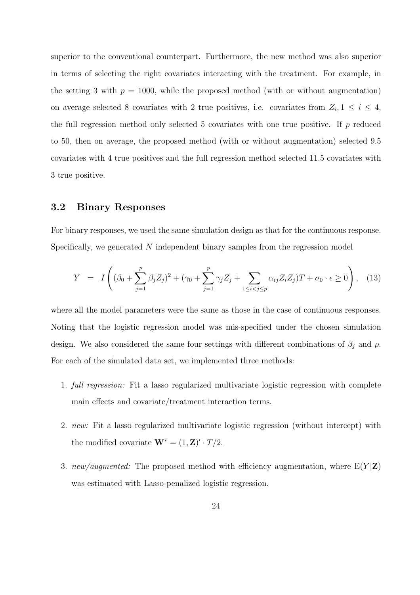superior to the conventional counterpart. Furthermore, the new method was also superior in terms of selecting the right covariates interacting with the treatment. For example, in the setting 3 with  $p = 1000$ , while the proposed method (with or without augmentation) on average selected 8 covariates with 2 true positives, i.e. covariates from  $Z_i, 1 \leq i \leq 4$ , the full regression method only selected 5 covariates with one true positive. If  $p$  reduced to 50, then on average, the proposed method (with or without augmentation) selected 9.5 covariates with 4 true positives and the full regression method selected 11.5 covariates with 3 true positive.

#### 3.2 Binary Responses

For binary responses, we used the same simulation design as that for the continuous response. Specifically, we generated N independent binary samples from the regression model

$$
Y = I\left((\beta_0 + \sum_{j=1}^p \beta_j Z_j)^2 + (\gamma_0 + \sum_{j=1}^p \gamma_j Z_j + \sum_{1 \le i < j \le p} \alpha_{ij} Z_i Z_j)T + \sigma_0 \cdot \epsilon \ge 0\right), \tag{13}
$$

where all the model parameters were the same as those in the case of continuous responses. Noting that the logistic regression model was mis-specified under the chosen simulation design. We also considered the same four settings with different combinations of  $\beta_j$  and  $\rho$ . For each of the simulated data set, we implemented three methods:

- 1. full regression: Fit a lasso regularized multivariate logistic regression with complete main effects and covariate/treatment interaction terms.
- 2. new: Fit a lasso regularized multivariate logistic regression (without intercept) with the modified covariate  $\mathbf{W}^* = (1, \mathbf{Z})' \cdot T/2$ .
- 3. new/augmented: The proposed method with efficiency augmentation, where  $E(Y|Z)$ was estimated with Lasso-penalized logistic regression.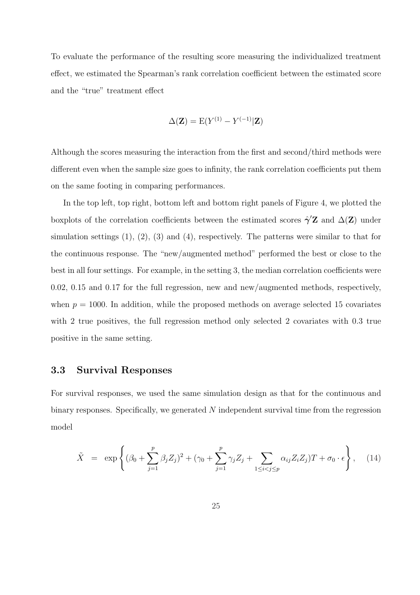To evaluate the performance of the resulting score measuring the individualized treatment effect, we estimated the Spearman's rank correlation coefficient between the estimated score and the "true" treatment effect

$$
\Delta(\mathbf{Z}) = \mathbf{E}(Y^{(1)} - Y^{(-1)}|\mathbf{Z})
$$

Although the scores measuring the interaction from the first and second/third methods were different even when the sample size goes to infinity, the rank correlation coefficients put them on the same footing in comparing performances.

In the top left, top right, bottom left and bottom right panels of Figure 4, we plotted the boxplots of the correlation coefficients between the estimated scores  $\hat{\gamma}'\mathbf{Z}$  and  $\Delta(\mathbf{Z})$  under simulation settings  $(1)$ ,  $(2)$ ,  $(3)$  and  $(4)$ , respectively. The patterns were similar to that for the continuous response. The "new/augmented method" performed the best or close to the best in all four settings. For example, in the setting 3, the median correlation coefficients were 0.02, 0.15 and 0.17 for the full regression, new and new/augmented methods, respectively, when  $p = 1000$ . In addition, while the proposed methods on average selected 15 covariates with 2 true positives, the full regression method only selected 2 covariates with 0.3 true positive in the same setting.

#### 3.3 Survival Responses

For survival responses, we used the same simulation design as that for the continuous and binary responses. Specifically, we generated N independent survival time from the regression model

$$
\tilde{X} = \exp\left\{ (\beta_0 + \sum_{j=1}^p \beta_j Z_j)^2 + (\gamma_0 + \sum_{j=1}^p \gamma_j Z_j + \sum_{1 \le i < j \le p} \alpha_{ij} Z_i Z_j) T + \sigma_0 \cdot \epsilon \right\}, \quad (14)
$$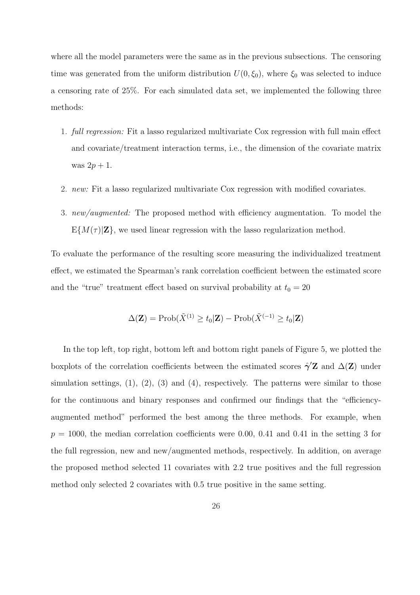where all the model parameters were the same as in the previous subsections. The censoring time was generated from the uniform distribution  $U(0, \xi_0)$ , where  $\xi_0$  was selected to induce a censoring rate of 25%. For each simulated data set, we implemented the following three methods:

- 1. full regression: Fit a lasso regularized multivariate Cox regression with full main effect and covariate/treatment interaction terms, i.e., the dimension of the covariate matrix was  $2p+1$ .
- 2. new: Fit a lasso regularized multivariate Cox regression with modified covariates.
- 3. *new/augmented:* The proposed method with efficiency augmentation. To model the  $E\{M(\tau)|\mathbf{Z}\}\text{, we used linear regression with the lasso regularization method.}$

To evaluate the performance of the resulting score measuring the individualized treatment effect, we estimated the Spearman's rank correlation coefficient between the estimated score and the "true" treatment effect based on survival probability at  $t_0 = 20$ 

$$
\Delta(\mathbf{Z}) = \text{Prob}(\tilde{X}^{(1)} \ge t_0|\mathbf{Z}) - \text{Prob}(\tilde{X}^{(-1)} \ge t_0|\mathbf{Z})
$$

In the top left, top right, bottom left and bottom right panels of Figure 5, we plotted the boxplots of the correlation coefficients between the estimated scores  $\hat{\gamma}'\mathbf{Z}$  and  $\Delta(\mathbf{Z})$  under simulation settings,  $(1)$ ,  $(2)$ ,  $(3)$  and  $(4)$ , respectively. The patterns were similar to those for the continuous and binary responses and confirmed our findings that the "efficiencyaugmented method" performed the best among the three methods. For example, when  $p = 1000$ , the median correlation coefficients were 0.00, 0.41 and 0.41 in the setting 3 for the full regression, new and new/augmented methods, respectively. In addition, on average the proposed method selected 11 covariates with 2.2 true positives and the full regression method only selected 2 covariates with 0.5 true positive in the same setting.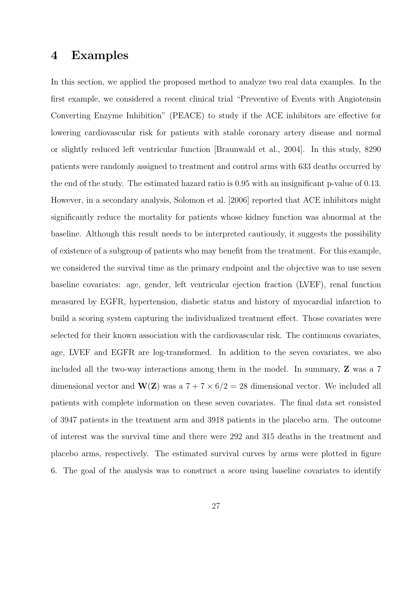### 4 Examples

In this section, we applied the proposed method to analyze two real data examples. In the first example, we considered a recent clinical trial "Preventive of Events with Angiotensin Converting Enzyme Inhibition" (PEACE) to study if the ACE inhibitors are effective for lowering cardiovascular risk for patients with stable coronary artery disease and normal or slightly reduced left ventricular function [Braunwald et al., 2004]. In this study, 8290 patients were randomly assigned to treatment and control arms with 633 deaths occurred by the end of the study. The estimated hazard ratio is 0.95 with an insignificant p-value of 0.13. However, in a secondary analysis, Solomon et al. [2006] reported that ACE inhibitors might significantly reduce the mortality for patients whose kidney function was abnormal at the baseline. Although this result needs to be interpreted cautiously, it suggests the possibility of existence of a subgroup of patients who may benefit from the treatment. For this example, we considered the survival time as the primary endpoint and the objective was to use seven baseline covariates: age, gender, left ventricular ejection fraction (LVEF), renal function measured by EGFR, hypertension, diabetic status and history of myocardial infarction to build a scoring system capturing the individualized treatment effect. Those covariates were selected for their known association with the cardiovascular risk. The continuous covariates, age, LVEF and EGFR are log-transformed. In addition to the seven covariates, we also included all the two-way interactions among them in the model. In summary, Z was a 7 dimensional vector and  $\mathbf{W}(\mathbf{Z})$  was a  $7 + 7 \times 6/2 = 28$  dimensional vector. We included all patients with complete information on these seven covariates. The final data set consisted of 3947 patients in the treatment arm and 3918 patients in the placebo arm. The outcome of interest was the survival time and there were 292 and 315 deaths in the treatment and placebo arms, respectively. The estimated survival curves by arms were plotted in figure 6. The goal of the analysis was to construct a score using baseline covariates to identify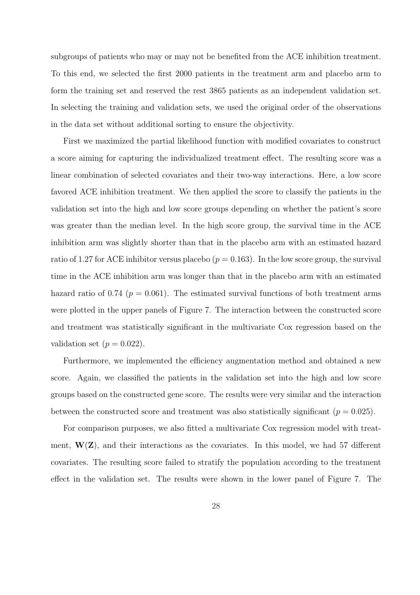subgroups of patients who may or may not be benefited from the ACE inhibition treatment. To this end, we selected the first 2000 patients in the treatment arm and placebo arm to form the training set and reserved the rest 3865 patients as an independent validation set. In selecting the training and validation sets, we used the original order of the observations in the data set without additional sorting to ensure the objectivity.

First we maximized the partial likelihood function with modified covariates to construct a score aiming for capturing the individualized treatment effect. The resulting score was a linear combination of selected covariates and their two-way interactions. Here, a low score favored ACE inhibition treatment. We then applied the score to classify the patients in the validation set into the high and low score groups depending on whether the patient's score was greater than the median level. In the high score group, the survival time in the ACE inhibition arm was slightly shorter than that in the placebo arm with an estimated hazard ratio of 1.27 for ACE inhibitor versus placebo ( $p = 0.163$ ). In the low score group, the survival time in the ACE inhibition arm was longer than that in the placebo arm with an estimated hazard ratio of 0.74 ( $p = 0.061$ ). The estimated survival functions of both treatment arms were plotted in the upper panels of Figure 7. The interaction between the constructed score and treatment was statistically significant in the multivariate Cox regression based on the validation set  $(p = 0.022)$ .

Furthermore, we implemented the efficiency augmentation method and obtained a new score. Again, we classified the patients in the validation set into the high and low score groups based on the constructed gene score. The results were very similar and the interaction between the constructed score and treatment was also statistically significant ( $p = 0.025$ ).

For comparison purposes, we also fitted a multivariate Cox regression model with treatment,  $W(Z)$ , and their interactions as the covariates. In this model, we had 57 different covariates. The resulting score failed to stratify the population according to the treatment effect in the validation set. The results were shown in the lower panel of Figure 7. The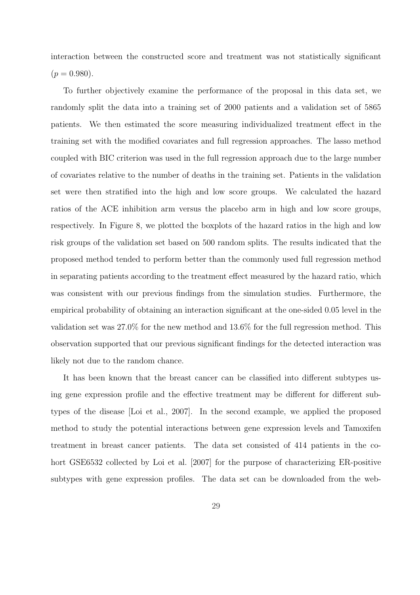interaction between the constructed score and treatment was not statistically significant  $(p = 0.980)$ .

To further objectively examine the performance of the proposal in this data set, we randomly split the data into a training set of 2000 patients and a validation set of 5865 patients. We then estimated the score measuring individualized treatment effect in the training set with the modified covariates and full regression approaches. The lasso method coupled with BIC criterion was used in the full regression approach due to the large number of covariates relative to the number of deaths in the training set. Patients in the validation set were then stratified into the high and low score groups. We calculated the hazard ratios of the ACE inhibition arm versus the placebo arm in high and low score groups, respectively. In Figure 8, we plotted the boxplots of the hazard ratios in the high and low risk groups of the validation set based on 500 random splits. The results indicated that the proposed method tended to perform better than the commonly used full regression method in separating patients according to the treatment effect measured by the hazard ratio, which was consistent with our previous findings from the simulation studies. Furthermore, the empirical probability of obtaining an interaction significant at the one-sided 0.05 level in the validation set was 27.0% for the new method and 13.6% for the full regression method. This observation supported that our previous significant findings for the detected interaction was likely not due to the random chance.

It has been known that the breast cancer can be classified into different subtypes using gene expression profile and the effective treatment may be different for different subtypes of the disease [Loi et al., 2007]. In the second example, we applied the proposed method to study the potential interactions between gene expression levels and Tamoxifen treatment in breast cancer patients. The data set consisted of 414 patients in the cohort GSE6532 collected by Loi et al. [2007] for the purpose of characterizing ER-positive subtypes with gene expression profiles. The data set can be downloaded from the web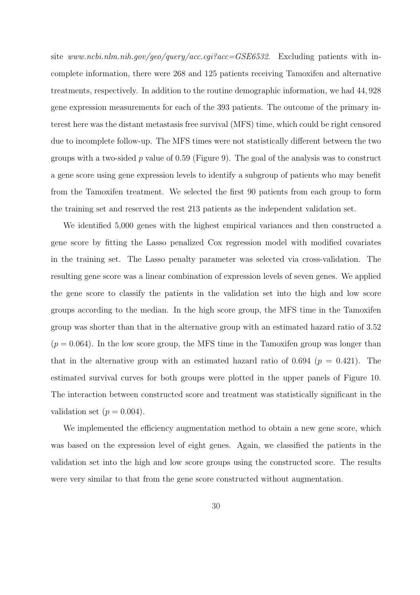site www.ncbi.nlm.nih.gov/geo/query/acc.cgi?acc=GSE6532. Excluding patients with incomplete information, there were 268 and 125 patients receiving Tamoxifen and alternative treatments, respectively. In addition to the routine demographic information, we had 44, 928 gene expression measurements for each of the 393 patients. The outcome of the primary interest here was the distant metastasis free survival (MFS) time, which could be right censored due to incomplete follow-up. The MFS times were not statistically different between the two groups with a two-sided p value of 0.59 (Figure 9). The goal of the analysis was to construct a gene score using gene expression levels to identify a subgroup of patients who may benefit from the Tamoxifen treatment. We selected the first 90 patients from each group to form the training set and reserved the rest 213 patients as the independent validation set.

We identified 5,000 genes with the highest empirical variances and then constructed a gene score by fitting the Lasso penalized Cox regression model with modified covariates in the training set. The Lasso penalty parameter was selected via cross-validation. The resulting gene score was a linear combination of expression levels of seven genes. We applied the gene score to classify the patients in the validation set into the high and low score groups according to the median. In the high score group, the MFS time in the Tamoxifen group was shorter than that in the alternative group with an estimated hazard ratio of 3.52  $(p = 0.064)$ . In the low score group, the MFS time in the Tamoxifen group was longer than that in the alternative group with an estimated hazard ratio of 0.694 ( $p = 0.421$ ). The estimated survival curves for both groups were plotted in the upper panels of Figure 10. The interaction between constructed score and treatment was statistically significant in the validation set  $(p = 0.004)$ .

We implemented the efficiency augmentation method to obtain a new gene score, which was based on the expression level of eight genes. Again, we classified the patients in the validation set into the high and low score groups using the constructed score. The results were very similar to that from the gene score constructed without augmentation.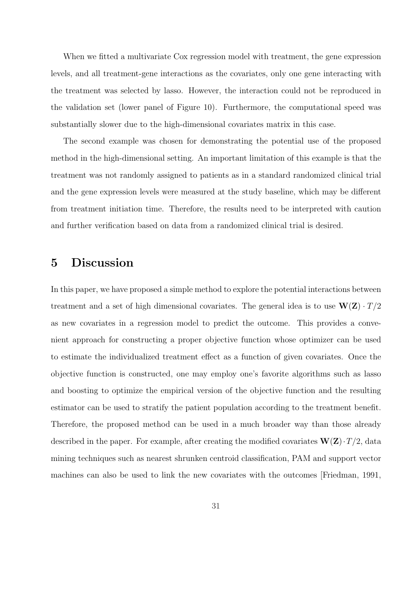When we fitted a multivariate Cox regression model with treatment, the gene expression levels, and all treatment-gene interactions as the covariates, only one gene interacting with the treatment was selected by lasso. However, the interaction could not be reproduced in the validation set (lower panel of Figure 10). Furthermore, the computational speed was substantially slower due to the high-dimensional covariates matrix in this case.

The second example was chosen for demonstrating the potential use of the proposed method in the high-dimensional setting. An important limitation of this example is that the treatment was not randomly assigned to patients as in a standard randomized clinical trial and the gene expression levels were measured at the study baseline, which may be different from treatment initiation time. Therefore, the results need to be interpreted with caution and further verification based on data from a randomized clinical trial is desired.

### 5 Discussion

In this paper, we have proposed a simple method to explore the potential interactions between treatment and a set of high dimensional covariates. The general idea is to use  $W(Z) \cdot T/2$ as new covariates in a regression model to predict the outcome. This provides a convenient approach for constructing a proper objective function whose optimizer can be used to estimate the individualized treatment effect as a function of given covariates. Once the objective function is constructed, one may employ one's favorite algorithms such as lasso and boosting to optimize the empirical version of the objective function and the resulting estimator can be used to stratify the patient population according to the treatment benefit. Therefore, the proposed method can be used in a much broader way than those already described in the paper. For example, after creating the modified covariates  $\mathbf{W}(\mathbf{Z}) \cdot T/2$ , data mining techniques such as nearest shrunken centroid classification, PAM and support vector machines can also be used to link the new covariates with the outcomes [Friedman, 1991,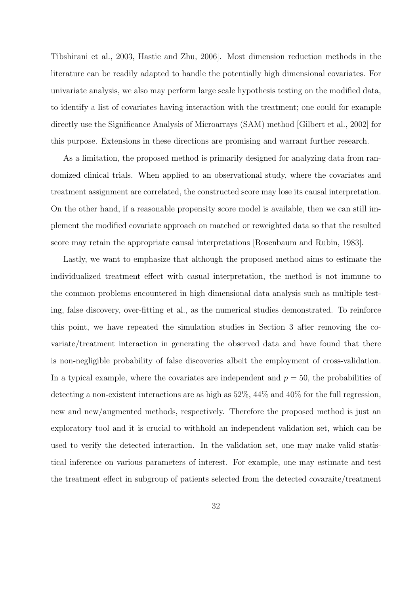Tibshirani et al., 2003, Hastie and Zhu, 2006]. Most dimension reduction methods in the literature can be readily adapted to handle the potentially high dimensional covariates. For univariate analysis, we also may perform large scale hypothesis testing on the modified data, to identify a list of covariates having interaction with the treatment; one could for example directly use the Significance Analysis of Microarrays (SAM) method [Gilbert et al., 2002] for this purpose. Extensions in these directions are promising and warrant further research.

As a limitation, the proposed method is primarily designed for analyzing data from randomized clinical trials. When applied to an observational study, where the covariates and treatment assignment are correlated, the constructed score may lose its causal interpretation. On the other hand, if a reasonable propensity score model is available, then we can still implement the modified covariate approach on matched or reweighted data so that the resulted score may retain the appropriate causal interpretations [Rosenbaum and Rubin, 1983].

Lastly, we want to emphasize that although the proposed method aims to estimate the individualized treatment effect with casual interpretation, the method is not immune to the common problems encountered in high dimensional data analysis such as multiple testing, false discovery, over-fitting et al., as the numerical studies demonstrated. To reinforce this point, we have repeated the simulation studies in Section 3 after removing the covariate/treatment interaction in generating the observed data and have found that there is non-negligible probability of false discoveries albeit the employment of cross-validation. In a typical example, where the covariates are independent and  $p = 50$ , the probabilities of detecting a non-existent interactions are as high as 52%, 44% and 40% for the full regression, new and new/augmented methods, respectively. Therefore the proposed method is just an exploratory tool and it is crucial to withhold an independent validation set, which can be used to verify the detected interaction. In the validation set, one may make valid statistical inference on various parameters of interest. For example, one may estimate and test the treatment effect in subgroup of patients selected from the detected covaraite/treatment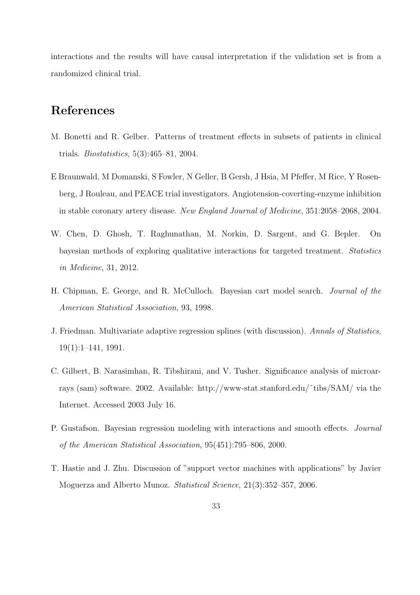interactions and the results will have causal interpretation if the validation set is from a randomized clinical trial.

### References

- M. Bonetti and R. Gelber. Patterns of treatment effects in subsets of patients in clinical trials. Biostatistics, 5(3):465–81, 2004.
- E Braunwald, M Domanski, S Fowler, N Geller, B Gersh, J Hsia, M Pfeffer, M Rice, Y Rosenberg, J Rouleau, and PEACE trial investigators. Angiotension-coverting-enzyme inhibition in stable coronary artery disease. New England Journal of Medicine, 351:2058–2068, 2004.
- W. Chen, D. Ghosh, T. Raghunathan, M. Norkin, D. Sargent, and G. Bepler. On bayesian methods of exploring qualitative interactions for targeted treatment. Statistics in Medicine, 31, 2012.
- H. Chipman, E. George, and R. McCulloch. Bayesian cart model search. Journal of the American Statistical Association, 93, 1998.
- J. Friedman. Multivariate adaptive regression splines (with discussion). Annals of Statistics, 19(1):1–141, 1991.
- C. Gilbert, B. Narasimhan, R. Tibshirani, and V. Tusher. Significance analysis of microarrays (sam) software. 2002. Available: http://www-stat.stanford.edu/˜tibs/SAM/ via the Internet. Accessed 2003 July 16.
- P. Gustafson. Bayesian regression modeling with interactions and smooth effects. Journal of the American Statistical Association, 95(451):795–806, 2000.
- T. Hastie and J. Zhu. Discussion of "support vector machines with applications" by Javier Moguerza and Alberto Munoz. Statistical Science, 21(3):352–357, 2006.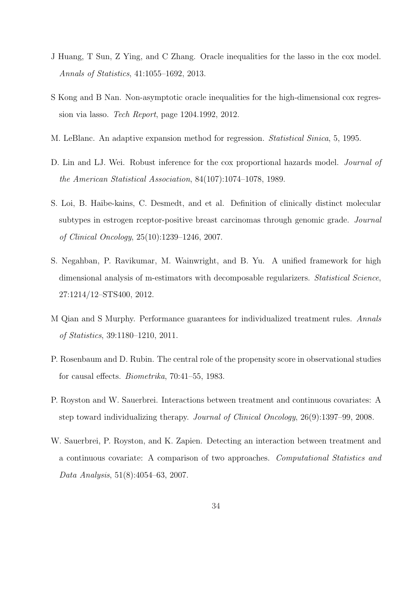- J Huang, T Sun, Z Ying, and C Zhang. Oracle inequalities for the lasso in the cox model. Annals of Statistics, 41:1055–1692, 2013.
- S Kong and B Nan. Non-asymptotic oracle inequalities for the high-dimensional cox regression via lasso. Tech Report, page 1204.1992, 2012.
- M. LeBlanc. An adaptive expansion method for regression. Statistical Sinica, 5, 1995.
- D. Lin and LJ. Wei. Robust inference for the cox proportional hazards model. *Journal of* the American Statistical Association, 84(107):1074–1078, 1989.
- S. Loi, B. Haibe-kains, C. Desmedt, and et al. Definition of clinically distinct molecular subtypes in estrogen rceptor-positive breast carcinomas through genomic grade. Journal of Clinical Oncology, 25(10):1239–1246, 2007.
- S. Negahban, P. Ravikumar, M. Wainwright, and B. Yu. A unified framework for high dimensional analysis of m-estimators with decomposable regularizers. *Statistical Science*, 27:1214/12–STS400, 2012.
- M Qian and S Murphy. Performance guarantees for individualized treatment rules. Annals of Statistics, 39:1180–1210, 2011.
- P. Rosenbaum and D. Rubin. The central role of the propensity score in observational studies for causal effects. Biometrika, 70:41–55, 1983.
- P. Royston and W. Sauerbrei. Interactions between treatment and continuous covariates: A step toward individualizing therapy. Journal of Clinical Oncology, 26(9):1397–99, 2008.
- W. Sauerbrei, P. Royston, and K. Zapien. Detecting an interaction between treatment and a continuous covariate: A comparison of two approaches. Computational Statistics and Data Analysis, 51(8):4054–63, 2007.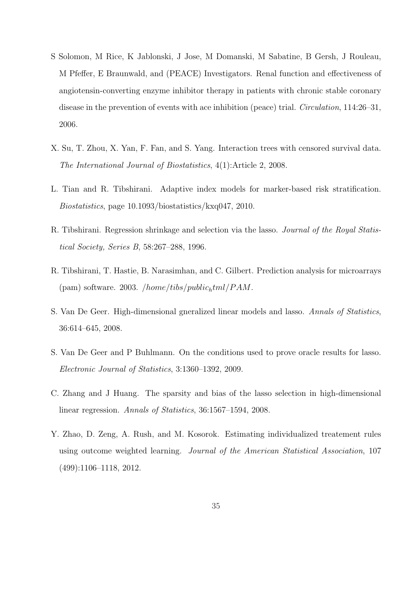- S Solomon, M Rice, K Jablonski, J Jose, M Domanski, M Sabatine, B Gersh, J Rouleau, M Pfeffer, E Braunwald, and (PEACE) Investigators. Renal function and effectiveness of angiotensin-converting enzyme inhibitor therapy in patients with chronic stable coronary disease in the prevention of events with ace inhibition (peace) trial. Circulation, 114:26–31, 2006.
- X. Su, T. Zhou, X. Yan, F. Fan, and S. Yang. Interaction trees with censored survival data. The International Journal of Biostatistics, 4(1):Article 2, 2008.
- L. Tian and R. Tibshirani. Adaptive index models for marker-based risk stratification. Biostatistics, page 10.1093/biostatistics/kxq047, 2010.
- R. Tibshirani. Regression shrinkage and selection via the lasso. Journal of the Royal Statistical Society, Series B, 58:267–288, 1996.
- R. Tibshirani, T. Hastie, B. Narasimhan, and C. Gilbert. Prediction analysis for microarrays (pam) software. 2003. */home/tibs/public<sub>h</sub>tml/PAM*.
- S. Van De Geer. High-dimensional gneralized linear models and lasso. Annals of Statistics, 36:614–645, 2008.
- S. Van De Geer and P Buhlmann. On the conditions used to prove oracle results for lasso. Electronic Journal of Statistics, 3:1360–1392, 2009.
- C. Zhang and J Huang. The sparsity and bias of the lasso selection in high-dimensional linear regression. Annals of Statistics, 36:1567–1594, 2008.
- Y. Zhao, D. Zeng, A. Rush, and M. Kosorok. Estimating individualized treatement rules using outcome weighted learning. Journal of the American Statistical Association, 107 (499):1106–1118, 2012.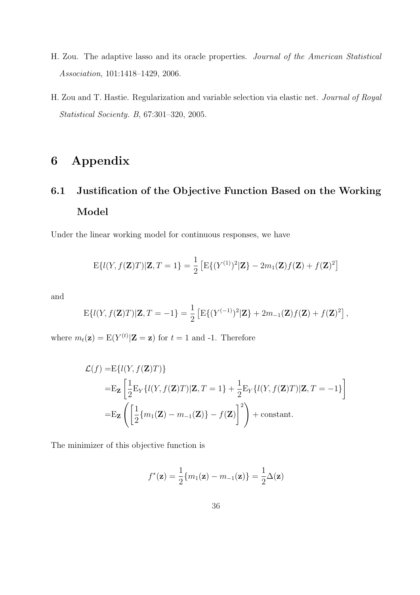- H. Zou. The adaptive lasso and its oracle properties. Journal of the American Statistical Association, 101:1418–1429, 2006.
- H. Zou and T. Hastie. Regularization and variable selection via elastic net. Journal of Royal Statistical Socienty. B, 67:301–320, 2005.

### 6 Appendix

# 6.1 Justification of the Objective Function Based on the Working Model

Under the linear working model for continuous responses, we have

$$
E\{l(Y, f(\mathbf{Z})T)|\mathbf{Z}, T = 1\} = \frac{1}{2} \left[ E\{ (Y^{(1)})^2 | \mathbf{Z} \} - 2m_1(\mathbf{Z})f(\mathbf{Z}) + f(\mathbf{Z})^2 \right]
$$

and

$$
E\{l(Y, f(\mathbf{Z})T)|\mathbf{Z}, T = -1\} = \frac{1}{2} \left[ E\{ (Y^{(-1)})^2 | \mathbf{Z} \} + 2m_{-1}(\mathbf{Z})f(\mathbf{Z}) + f(\mathbf{Z})^2 \right],
$$

where  $m_t(\mathbf{z}) = E(Y^{(t)}|\mathbf{Z} = \mathbf{z})$  for  $t = 1$  and -1. Therefore

$$
\mathcal{L}(f) = E\{l(Y, f(\mathbf{Z})T)\}
$$
  
=
$$
E_{\mathbf{Z}}\left[\frac{1}{2}E_Y\{l(Y, f(\mathbf{Z})T)|\mathbf{Z}, T=1\} + \frac{1}{2}E_Y\{l(Y, f(\mathbf{Z})T)|\mathbf{Z}, T=-1\}\right]
$$
  
=
$$
E_{\mathbf{Z}}\left(\left[\frac{1}{2}\{m_1(\mathbf{Z}) - m_{-1}(\mathbf{Z})\} - f(\mathbf{Z})\right]^2\right) + \text{constant.}
$$

The minimizer of this objective function is

$$
f^*(\mathbf{z}) = \frac{1}{2} \{m_1(\mathbf{z}) - m_{-1}(\mathbf{z})\} = \frac{1}{2} \Delta(\mathbf{z})
$$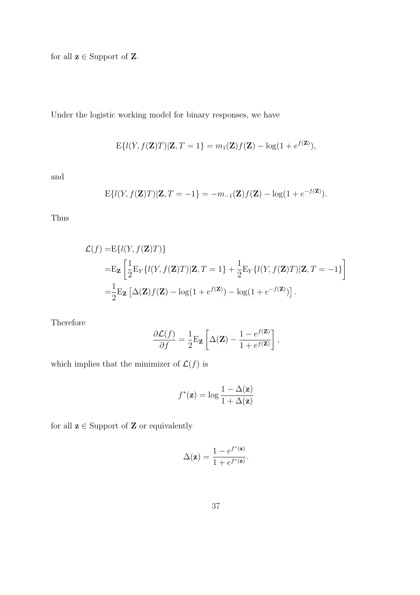for all  $z \in$  Support of Z.

Under the logistic working model for binary responses, we have

$$
E\{l(Y, f(\mathbf{Z})T)|\mathbf{Z}, T=1\} = m_1(\mathbf{Z})f(\mathbf{Z}) - \log(1 + e^{f(\mathbf{Z})}),
$$

and

$$
E\{l(Y, f(\mathbf{Z})T)|\mathbf{Z}, T = -1\} = -m_{-1}(\mathbf{Z})f(\mathbf{Z}) - \log(1 + e^{-f(\mathbf{Z})}).
$$

Thus

$$
\mathcal{L}(f) = E\{l(Y, f(\mathbf{Z})T)\}
$$
  
=
$$
E_{\mathbf{Z}}\left[\frac{1}{2}E_Y\{l(Y, f(\mathbf{Z})T)|\mathbf{Z}, T=1\} + \frac{1}{2}E_Y\{l(Y, f(\mathbf{Z})T)|\mathbf{Z}, T=-1\}\right]
$$
  
=
$$
\frac{1}{2}E_{\mathbf{Z}}\left[\Delta(\mathbf{Z})f(\mathbf{Z}) - \log(1 + e^{f(\mathbf{Z})}) - \log(1 + e^{-f(\mathbf{Z})})\right].
$$

Therefore

$$
\frac{\partial \mathcal{L}(f)}{\partial f} = \frac{1}{2} \mathbf{E}_{\mathbf{Z}} \left[ \Delta(\mathbf{Z}) - \frac{1 - e^{f(\mathbf{Z})}}{1 + e^{f(\mathbf{Z})}} \right],
$$

which implies that the minimizer of  $\mathcal{L}(f)$  is

$$
f^*(\mathbf{z}) = \log \frac{1 - \Delta(\mathbf{z})}{1 + \Delta(\mathbf{z})}
$$

for all  $\mathbf{z} \in \mathsf{Support}$  of  $\mathbf{Z}$  or equivalently

$$
\Delta(\mathbf{z}) = \frac{1-e^{f^*(\mathbf{z})}}{1+e^{f^*(\mathbf{z})}}.
$$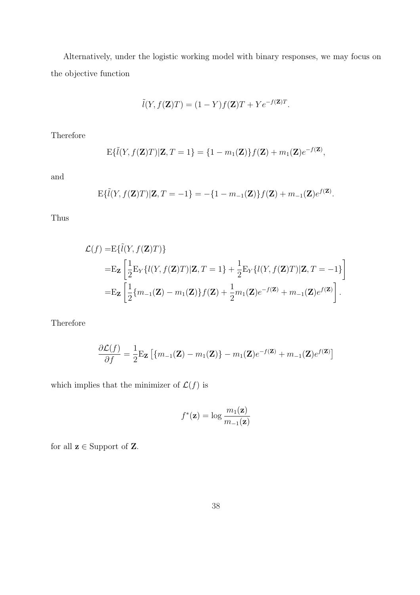Alternatively, under the logistic working model with binary responses, we may focus on the objective function

$$
\tilde{l}(Y, f(\mathbf{Z})T) = (1 - Y)f(\mathbf{Z})T + Ye^{-f(\mathbf{Z})T}.
$$

Therefore

$$
\mathrm{E}\{\tilde{l}(Y,f(\mathbf{Z})T)|\mathbf{Z},T=1\}=\{1-m_1(\mathbf{Z})\}f(\mathbf{Z})+m_1(\mathbf{Z})e^{-f(\mathbf{Z})},
$$

and

$$
E\{\tilde{l}(Y,f(\mathbf{Z})T)|\mathbf{Z},T=-1\}=-\{1-m_{-1}(\mathbf{Z})\}f(\mathbf{Z})+m_{-1}(\mathbf{Z})e^{f(\mathbf{Z})}.
$$

Thus

$$
\mathcal{L}(f) = E\{\tilde{l}(Y, f(\mathbf{Z})T)\}\
$$
  
=
$$
E_{\mathbf{Z}}\left[\frac{1}{2}E_{Y}\{l(Y, f(\mathbf{Z})T)|\mathbf{Z}, T = 1\} + \frac{1}{2}E_{Y}\{l(Y, f(\mathbf{Z})T)|\mathbf{Z}, T = -1\}\right]
$$
  
=
$$
E_{\mathbf{Z}}\left[\frac{1}{2}\{m_{-1}(\mathbf{Z}) - m_{1}(\mathbf{Z})\}f(\mathbf{Z}) + \frac{1}{2}m_{1}(\mathbf{Z})e^{-f(\mathbf{Z})} + m_{-1}(\mathbf{Z})e^{f(\mathbf{Z})}\right].
$$

Therefore

$$
\frac{\partial \mathcal{L}(f)}{\partial f} = \frac{1}{2} \mathbf{E}_{\mathbf{Z}} \left[ \{ m_{-1}(\mathbf{Z}) - m_1(\mathbf{Z}) \} - m_1(\mathbf{Z}) e^{-f(\mathbf{Z})} + m_{-1}(\mathbf{Z}) e^{f(\mathbf{Z})} \right]
$$

which implies that the minimizer of  $\mathcal{L}(f)$  is

$$
f^*(\mathbf{z}) = \log \frac{m_1(\mathbf{z})}{m_{-1}(\mathbf{z})}
$$

for all  $\mathbf{z}\in\text{Support}$  of  $\mathbf{Z}.$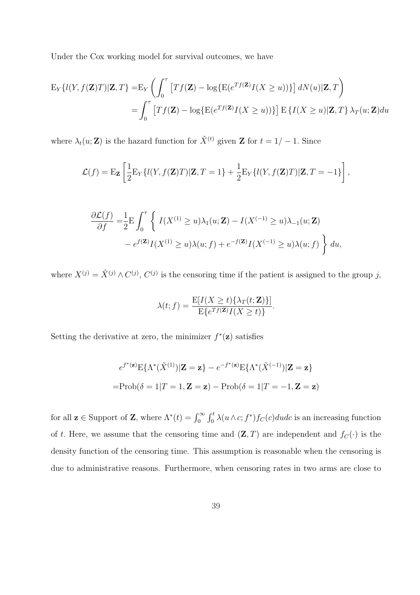Under the Cox working model for survival outcomes, we have

$$
\begin{aligned} \mathcal{E}_Y\{l(Y,f(\mathbf{Z})T)|\mathbf{Z},T\}=&\mathcal{E}_Y\left(\int_0^\tau \left[Tf(\mathbf{Z})-\log\{\mathcal{E}(e^{Tf(\mathbf{Z})}I(X\geq u))\}\right]dN(u)|\mathbf{Z},T\right) \\ =&\int_0^\tau \left[Tf(\mathbf{Z})-\log\{\mathcal{E}(e^{Tf(\mathbf{Z})}I(X\geq u))\}\right]\mathcal{E}\left\{I(X\geq u)|\mathbf{Z},T\right\}\lambda_T(u;\mathbf{Z})du \end{aligned}
$$

where  $\lambda_t(u; \mathbf{Z})$  is the hazard function for  $\tilde{X}^{(t)}$  given  $\mathbf{Z}$  for  $t = 1/-1$ . Since

$$
\mathcal{L}(f) = \mathbf{E}_{\mathbf{Z}} \left[ \frac{1}{2} \mathbf{E}_{Y} \{ l(Y, f(\mathbf{Z})T) | \mathbf{Z}, T = 1 \} + \frac{1}{2} \mathbf{E}_{Y} \{ l(Y, f(\mathbf{Z})T) | \mathbf{Z}, T = -1 \} \right],
$$

$$
\frac{\partial \mathcal{L}(f)}{\partial f} = \frac{1}{2} \mathbf{E} \int_0^{\tau} \left\{ I(X^{(1)} \ge u) \lambda_1(u; \mathbf{Z}) - I(X^{(-1)} \ge u) \lambda_{-1}(u; \mathbf{Z}) - e^{f(\mathbf{Z})} I(X^{(1)} \ge u) \lambda(u; f) + e^{-f(\mathbf{Z})} I(X^{(-1)} \ge u) \lambda(u; f) \right\} du,
$$

where  $X^{(j)} = \tilde{X}^{(j)} \wedge C^{(j)}$ ,  $C^{(j)}$  is the censoring time if the patient is assigned to the group j,

$$
\lambda(t; f) = \frac{\mathbb{E}[I(X \ge t) \{\lambda_T(t; \mathbf{Z})\}]}{\mathbb{E}\{e^{Tf(\mathbf{Z})}I(X \ge t)\}}.
$$

Setting the derivative at zero, the minimizer  $f^*(\mathbf{z})$  satisfies

$$
e^{f^*(\mathbf{z})} \mathbf{E}\{\Lambda^*(\tilde{X}^{(1)})|\mathbf{Z} = \mathbf{z}\} - e^{-f^*(\mathbf{z})} \mathbf{E}\{\Lambda^*(\tilde{X}^{(-1)})|\mathbf{Z} = \mathbf{z}\}
$$

$$
= \text{Prob}(\delta = 1|T = 1, \mathbf{Z} = \mathbf{z}) - \text{Prob}(\delta = 1|T = -1, \mathbf{Z} = \mathbf{z})
$$

for all  $\mathbf{z} \in \text{Support of } \mathbf{Z}$ , where  $\Lambda^*(t) = \int_0^\infty$  $\int_0^t$  $\int_0^t \lambda(u \wedge c; f^*) f_C(c) du dc$  is an increasing function of t. Here, we assume that the censoring time and  $(\mathbf{Z}, T)$  are independent and  $f_C(\cdot)$  is the density function of the censoring time. This assumption is reasonable when the censoring is due to administrative reasons. Furthermore, when censoring rates in two arms are close to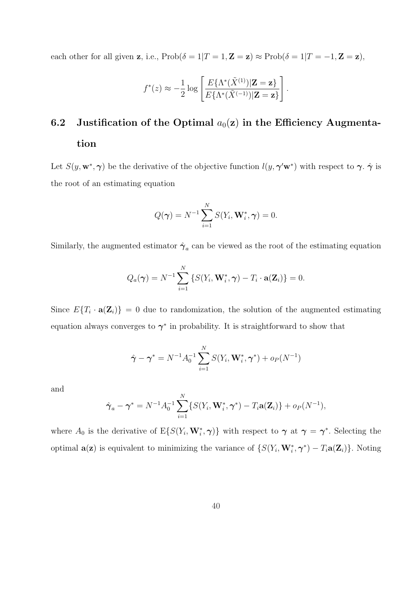each other for all given z, i.e.,  $\text{Prob}(\delta = 1|T = 1, \mathbf{Z} = \mathbf{z}) \approx \text{Prob}(\delta = 1|T = -1, \mathbf{Z} = \mathbf{z}),$ 

$$
f^*(z) \approx -\frac{1}{2} \log \left[ \frac{E\{\Lambda^*(\tilde{X}^{(1)}) | \mathbf{Z} = \mathbf{z}\}}{E\{\Lambda^*(\tilde{X}^{(-1)}) | \mathbf{Z} = \mathbf{z}\}} \right].
$$

## 6.2 Justification of the Optimal  $a_0(z)$  in the Efficiency Augmentation

Let  $S(y, \mathbf{w}^*, \boldsymbol{\gamma})$  be the derivative of the objective function  $l(y, \boldsymbol{\gamma}'\mathbf{w}^*)$  with respect to  $\boldsymbol{\gamma}$ .  $\hat{\boldsymbol{\gamma}}$  is the root of an estimating equation

$$
Q(\boldsymbol{\gamma}) = N^{-1} \sum_{i=1}^{N} S(Y_i, \mathbf{W}_i^*, \boldsymbol{\gamma}) = 0.
$$

Similarly, the augmented estimator  $\hat{\gamma}_a$  can be viewed as the root of the estimating equation

$$
Q_a(\boldsymbol{\gamma}) = N^{-1} \sum_{i=1}^N \left\{ S(Y_i, \mathbf{W}_i^*, \boldsymbol{\gamma}) - T_i \cdot \mathbf{a}(\mathbf{Z}_i) \right\} = 0.
$$

Since  $E\{T_i \cdot \mathbf{a}(\mathbf{Z}_i)\} = 0$  due to randomization, the solution of the augmented estimating equation always converges to  $\gamma^*$  in probability. It is straightforward to show that

$$
\hat{\boldsymbol{\gamma}} - \boldsymbol{\gamma}^* = N^{-1} A_0^{-1} \sum_{i=1}^N S(Y_i, \mathbf{W}_i^*, \boldsymbol{\gamma}^*) + o_P(N^{-1})
$$

and

$$
\hat{\boldsymbol{\gamma}}_a - \boldsymbol{\gamma}^* = N^{-1} A_0^{-1} \sum_{i=1}^N \{ S(Y_i, \mathbf{W}_i^*, \boldsymbol{\gamma}^*) - T_i \mathbf{a}(\mathbf{Z}_i) \} + o_P(N^{-1}),
$$

where  $A_0$  is the derivative of  $E\{S(Y_i, \mathbf{W}_i^*, \boldsymbol{\gamma})\}$  with respect to  $\boldsymbol{\gamma}$  at  $\boldsymbol{\gamma} = \boldsymbol{\gamma}^*$ . Selecting the optimal  $\mathbf{a}(\mathbf{z})$  is equivalent to minimizing the variance of  $\{S(Y_i, \mathbf{W}_i^*, \boldsymbol{\gamma}^*) - T_i \mathbf{a}(\mathbf{Z}_i)\}\)$ . Noting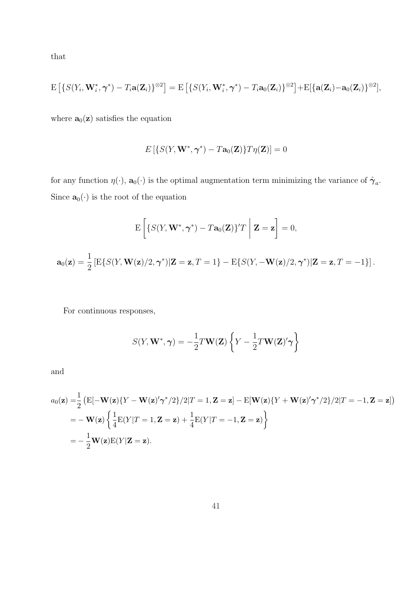that

$$
\mathrm{E}\left[\left\{S(Y_i, \mathbf{W}_i^*, \boldsymbol{\gamma}^*) - T_i \mathbf{a}(\mathbf{Z}_i)\right\}^{\otimes 2}\right] = \mathrm{E}\left[\left\{S(Y_i, \mathbf{W}_i^*, \boldsymbol{\gamma}^*) - T_i \mathbf{a}_0(\mathbf{Z}_i)\right\}^{\otimes 2}\right] + \mathrm{E}[\left\{\mathbf{a}(\mathbf{Z}_i) - \mathbf{a}_0(\mathbf{Z}_i)\right\}^{\otimes 2}],
$$

where  $\mathbf{a}_0(\mathbf{z})$  satisfies the equation

$$
E\left[\left\{S(Y, \mathbf{W}^*, \boldsymbol{\gamma}^*) - T\mathbf{a}_0(\mathbf{Z})\right\}T\eta(\mathbf{Z})\right] = 0
$$

for any function  $\eta(\cdot)$ ,  $\mathbf{a}_0(\cdot)$  is the optimal augmentation term minimizing the variance of  $\hat{\boldsymbol{\gamma}}_a$ . Since  $\mathbf{a}_0(\cdot)$  is the root of the equation

$$
E\left[\left\{S(Y, \mathbf{W}^*, \boldsymbol{\gamma}^*) - T\mathbf{a}_0(\mathbf{Z})\right\} T \mid \mathbf{Z} = \mathbf{z}\right] = 0,
$$
  

$$
\mathbf{a}_0(\mathbf{z}) = \frac{1}{2} \left[ E\{S(Y, \mathbf{W}(\mathbf{z})/2, \boldsymbol{\gamma}^*) | \mathbf{Z} = \mathbf{z}, T = 1\} - E\{S(Y, -\mathbf{W}(\mathbf{z})/2, \boldsymbol{\gamma}^*) | \mathbf{Z} = \mathbf{z}, T = -1\} \right].
$$

For continuous responses,

$$
S(Y, \mathbf{W}^*, \boldsymbol{\gamma}) = -\frac{1}{2}T\mathbf{W}(\mathbf{Z})\left\{Y - \frac{1}{2}T\mathbf{W}(\mathbf{Z})'\boldsymbol{\gamma}\right\}
$$

and

$$
a_0(\mathbf{z}) = \frac{1}{2} \left( \mathbf{E}[-\mathbf{W}(\mathbf{z}) \{ Y - \mathbf{W}(\mathbf{z})' \gamma^* / 2 \} / 2 | T = 1, \mathbf{Z} = \mathbf{z} \right) - \mathbf{E}[\mathbf{W}(\mathbf{z}) \{ Y + \mathbf{W}(\mathbf{z})' \gamma^* / 2 \} / 2 | T = -1, \mathbf{Z} = \mathbf{z} \right)
$$
  
=  $-\mathbf{W}(\mathbf{z}) \left\{ \frac{1}{4} \mathbf{E}(Y | T = 1, \mathbf{Z} = \mathbf{z}) + \frac{1}{4} \mathbf{E}(Y | T = -1, \mathbf{Z} = \mathbf{z}) \right\}$   
=  $-\frac{1}{2} \mathbf{W}(\mathbf{z}) \mathbf{E}(Y | \mathbf{Z} = \mathbf{z}).$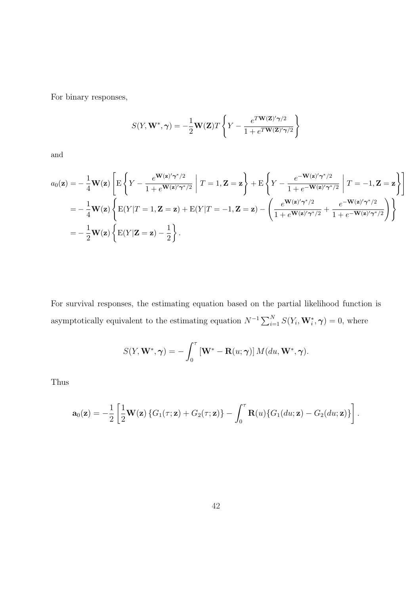For binary responses,

$$
S(Y, \mathbf{W}^*, \gamma) = -\frac{1}{2} \mathbf{W}(\mathbf{Z}) T \left\{ Y - \frac{e^{T} \mathbf{W}(\mathbf{Z})' \gamma/2}{1 + e^{T} \mathbf{W}(\mathbf{Z})' \gamma/2} \right\}
$$

and

$$
a_0(\mathbf{z}) = -\frac{1}{4}\mathbf{W}(\mathbf{z}) \left[ \mathbf{E} \left\{ Y - \frac{e^{\mathbf{W}(\mathbf{z})' \boldsymbol{\gamma}^*/2}}{1 + e^{\mathbf{W}(\mathbf{z})' \boldsymbol{\gamma}^*/2}} \; \middle| \; T = 1, \mathbf{Z} = \mathbf{z} \right\} + \mathbf{E} \left\{ Y - \frac{e^{-\mathbf{W}(\mathbf{z})' \boldsymbol{\gamma}^*/2}}{1 + e^{-\mathbf{W}(\mathbf{z})' \boldsymbol{\gamma}^*/2}} \; \middle| \; T = -1, \mathbf{Z} = \mathbf{z} \right\} \right]
$$
\n
$$
= -\frac{1}{4}\mathbf{W}(\mathbf{z}) \left\{ \mathbf{E}(Y|T=1, \mathbf{Z}=\mathbf{z}) + \mathbf{E}(Y|T=-1, \mathbf{Z}=\mathbf{z}) - \left( \frac{e^{\mathbf{W}(\mathbf{z})' \boldsymbol{\gamma}^*/2}}{1 + e^{\mathbf{W}(\mathbf{z})' \boldsymbol{\gamma}^*/2}} + \frac{e^{-\mathbf{W}(\mathbf{z})' \boldsymbol{\gamma}^*/2}}{1 + e^{-\mathbf{W}(\mathbf{z})' \boldsymbol{\gamma}^*/2}} \right) \right\}
$$
\n
$$
= -\frac{1}{2}\mathbf{W}(\mathbf{z}) \left\{ \mathbf{E}(Y|\mathbf{Z}=\mathbf{z}) - \frac{1}{2} \right\}.
$$

For survival responses, the estimating equation based on the partial likelihood function is asymptotically equivalent to the estimating equation  $N^{-1} \sum_{i=1}^{N} S(Y_i, \mathbf{W}_i^*, \boldsymbol{\gamma}) = 0$ , where

$$
S(Y, \mathbf{W}^*, \boldsymbol{\gamma}) = -\int_0^{\tau} \left[\mathbf{W}^* - \mathbf{R}(u; \boldsymbol{\gamma})\right] M(du, \mathbf{W}^*, \boldsymbol{\gamma}).
$$

Thus

$$
\mathbf{a}_0(\mathbf{z}) = -\frac{1}{2} \left[ \frac{1}{2} \mathbf{W}(\mathbf{z}) \left\{ G_1(\tau; \mathbf{z}) + G_2(\tau; \mathbf{z}) \right\} - \int_0^{\tau} \mathbf{R}(u) \left\{ G_1(du; \mathbf{z}) - G_2(du; \mathbf{z}) \right\} \right].
$$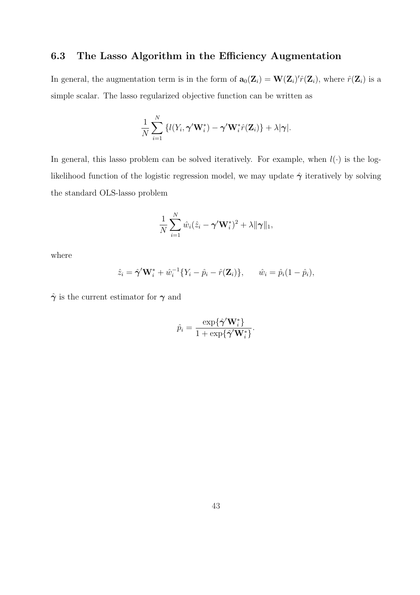#### 6.3 The Lasso Algorithm in the Efficiency Augmentation

In general, the augmentation term is in the form of  $\mathbf{a}_0(\mathbf{Z}_i) = \mathbf{W}(\mathbf{Z}_i)' \hat{r}(\mathbf{Z}_i)$ , where  $\hat{r}(\mathbf{Z}_i)$  is a simple scalar. The lasso regularized objective function can be written as

$$
\frac{1}{N}\sum_{i=1}^N \left\{ l(Y_i, \boldsymbol{\gamma}' \mathbf{W}_i^*) - \boldsymbol{\gamma}' \mathbf{W}_i^* \hat{r}(\mathbf{Z}_i) \right\} + \lambda |\boldsymbol{\gamma}|.
$$

In general, this lasso problem can be solved iteratively. For example, when  $l(\cdot)$  is the loglikelihood function of the logistic regression model, we may update  $\hat{\gamma}$  iteratively by solving the standard OLS-lasso problem

$$
\frac{1}{N}\sum_{i=1}^N \hat{w}_i(\hat{z}_i - \boldsymbol{\gamma}' \mathbf{W}_i^*)^2 + \lambda \|\boldsymbol{\gamma}\|_1,
$$

where

$$
\hat{z}_i = \hat{\boldsymbol{\gamma}}' \mathbf{W}_i^* + \hat{w}_i^{-1} \{ Y_i - \hat{p}_i - \hat{r}(\mathbf{Z}_i) \}, \quad \hat{w}_i = \hat{p}_i (1 - \hat{p}_i),
$$

 $\hat{\gamma}$  is the current estimator for  $\gamma$  and

$$
\hat{p}_i = \frac{\exp\{\hat{\boldsymbol{\gamma}}'\mathbf{W}_i^*\}}{1 + \exp\{\hat{\boldsymbol{\gamma}}'\mathbf{W}_i^*\}}.
$$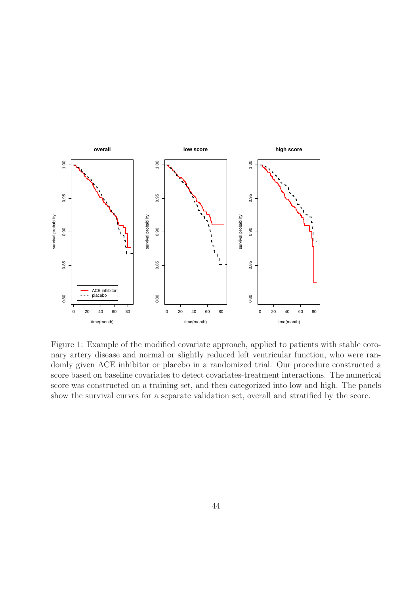

Figure 1: Example of the modified covariate approach, applied to patients with stable coronary artery disease and normal or slightly reduced left ventricular function, who were randomly given ACE inhibitor or placebo in a randomized trial. Our procedure constructed a score based on baseline covariates to detect covariates-treatment interactions. The numerical score was constructed on a training set, and then categorized into low and high. The panels show the survival curves for a separate validation set, overall and stratified by the score.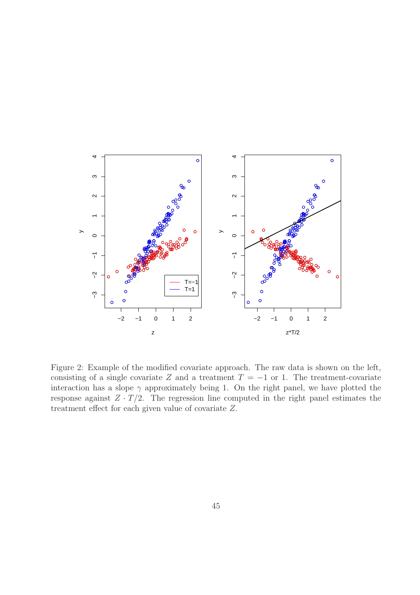

Figure 2: Example of the modified covariate approach. The raw data is shown on the left, consisting of a single covariate Z and a treatment  $T = -1$  or 1. The treatment-covariate interaction has a slope  $\gamma$  approximately being 1. On the right panel, we have plotted the response against  $Z \cdot T/2$ . The regression line computed in the right panel estimates the treatment effect for each given value of covariate Z.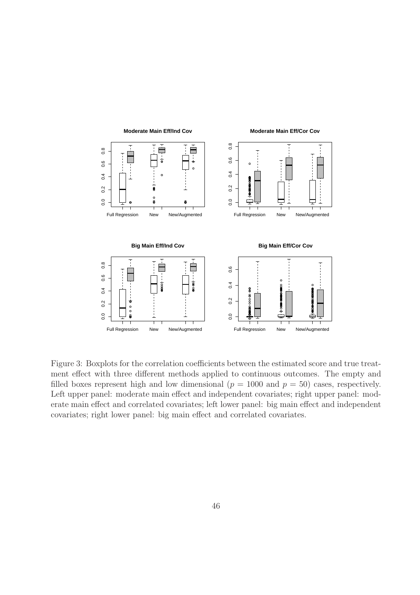

Figure 3: Boxplots for the correlation coefficients between the estimated score and true treatment effect with three different methods applied to continuous outcomes. The empty and filled boxes represent high and low dimensional ( $p = 1000$  and  $p = 50$ ) cases, respectively. Left upper panel: moderate main effect and independent covariates; right upper panel: moderate main effect and correlated covariates; left lower panel: big main effect and independent covariates; right lower panel: big main effect and correlated covariates.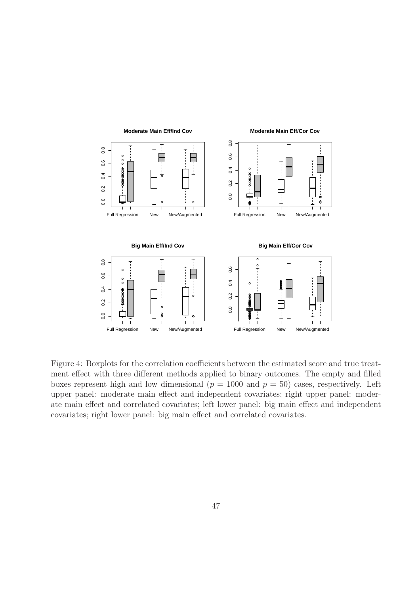

Figure 4: Boxplots for the correlation coefficients between the estimated score and true treatment effect with three different methods applied to binary outcomes. The empty and filled boxes represent high and low dimensional ( $p = 1000$  and  $p = 50$ ) cases, respectively. Left upper panel: moderate main effect and independent covariates; right upper panel: moderate main effect and correlated covariates; left lower panel: big main effect and independent covariates; right lower panel: big main effect and correlated covariates.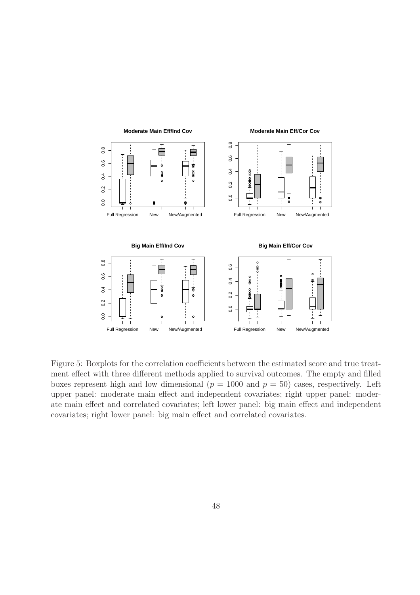

Figure 5: Boxplots for the correlation coefficients between the estimated score and true treatment effect with three different methods applied to survival outcomes. The empty and filled boxes represent high and low dimensional ( $p = 1000$  and  $p = 50$ ) cases, respectively. Left upper panel: moderate main effect and independent covariates; right upper panel: moderate main effect and correlated covariates; left lower panel: big main effect and independent covariates; right lower panel: big main effect and correlated covariates.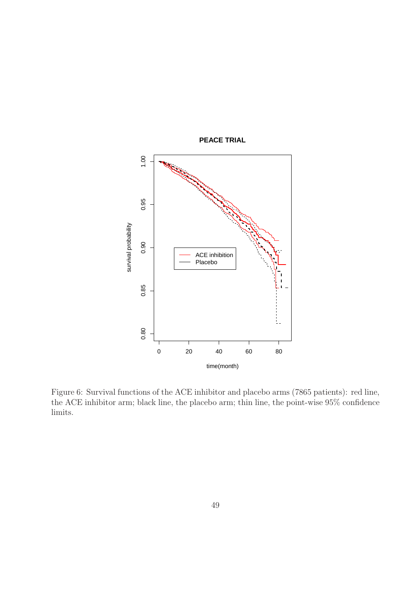

Figure 6: Survival functions of the ACE inhibitor and placebo arms (7865 patients): red line, the ACE inhibitor arm; black line, the placebo arm; thin line, the point-wise 95% confidence limits.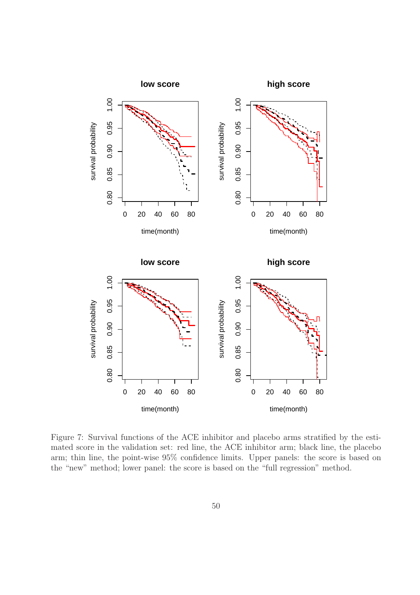

Figure 7: Survival functions of the ACE inhibitor and placebo arms stratified by the estimated score in the validation set: red line, the ACE inhibitor arm; black line, the placebo arm; thin line, the point-wise 95% confidence limits. Upper panels: the score is based on the "new" method; lower panel: the score is based on the "full regression" method.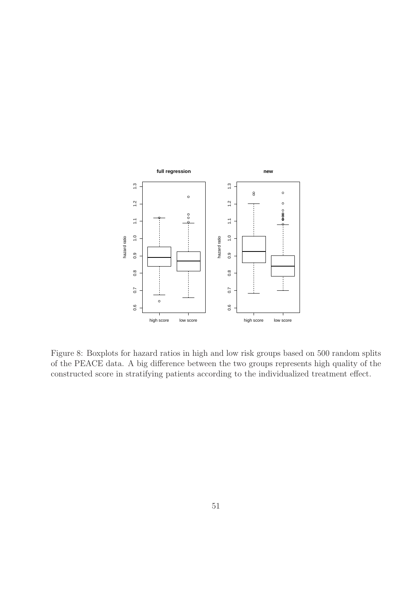

Figure 8: Boxplots for hazard ratios in high and low risk groups based on 500 random splits of the PEACE data. A big difference between the two groups represents high quality of the constructed score in stratifying patients according to the individualized treatment effect.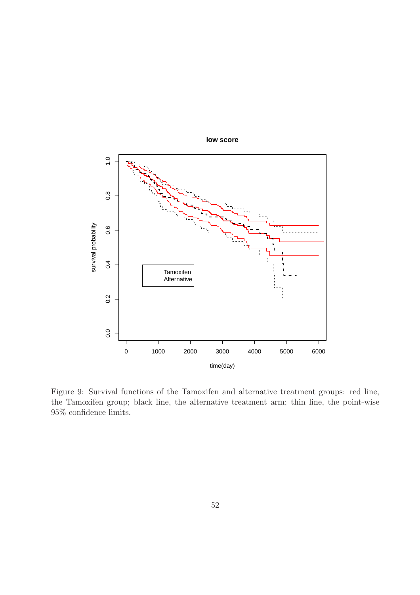

Figure 9: Survival functions of the Tamoxifen and alternative treatment groups: red line, the Tamoxifen group; black line, the alternative treatment arm; thin line, the point-wise 95% confidence limits.